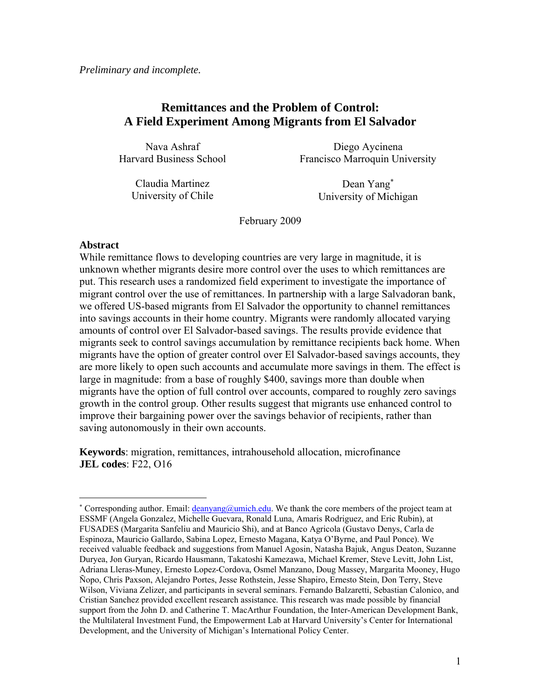*Preliminary and incomplete.* 

# **Remittances and the Problem of Control: A Field Experiment Among Migrants from El Salvador**

Nava Ashraf Harvard Business School

Diego Aycinena Francisco Marroquin University

Claudia Martinez University of Chile

Dean Yang<sup>∗</sup> University of Michigan

February 2009

## **Abstract**

 $\overline{a}$ 

While remittance flows to developing countries are very large in magnitude, it is unknown whether migrants desire more control over the uses to which remittances are put. This research uses a randomized field experiment to investigate the importance of migrant control over the use of remittances. In partnership with a large Salvadoran bank, we offered US-based migrants from El Salvador the opportunity to channel remittances into savings accounts in their home country. Migrants were randomly allocated varying amounts of control over El Salvador-based savings. The results provide evidence that migrants seek to control savings accumulation by remittance recipients back home. When migrants have the option of greater control over El Salvador-based savings accounts, they are more likely to open such accounts and accumulate more savings in them. The effect is large in magnitude: from a base of roughly \$400, savings more than double when migrants have the option of full control over accounts, compared to roughly zero savings growth in the control group. Other results suggest that migrants use enhanced control to improve their bargaining power over the savings behavior of recipients, rather than saving autonomously in their own accounts.

**Keywords**: migration, remittances, intrahousehold allocation, microfinance **JEL codes**: F22, O16

<sup>\*</sup> Corresponding author. Email: *deanyang@umich.edu*. We thank the core members of the project team at ESSMF (Angela Gonzalez, Michelle Guevara, Ronald Luna, Amaris Rodriguez, and Eric Rubin), at FUSADES (Margarita Sanfeliu and Mauricio Shi), and at Banco Agricola (Gustavo Denys, Carla de Espinoza, Mauricio Gallardo, Sabina Lopez, Ernesto Magana, Katya O'Byrne, and Paul Ponce). We received valuable feedback and suggestions from Manuel Agosin, Natasha Bajuk, Angus Deaton, Suzanne Duryea, Jon Guryan, Ricardo Hausmann, Takatoshi Kamezawa, Michael Kremer, Steve Levitt, John List, Adriana Lleras-Muney, Ernesto Lopez-Cordova, Osmel Manzano, Doug Massey, Margarita Mooney, Hugo Ñopo, Chris Paxson, Alejandro Portes, Jesse Rothstein, Jesse Shapiro, Ernesto Stein, Don Terry, Steve Wilson, Viviana Zelizer, and participants in several seminars. Fernando Balzaretti, Sebastian Calonico, and Cristian Sanchez provided excellent research assistance. This research was made possible by financial support from the John D. and Catherine T. MacArthur Foundation, the Inter-American Development Bank, the Multilateral Investment Fund, the Empowerment Lab at Harvard University's Center for International Development, and the University of Michigan's International Policy Center.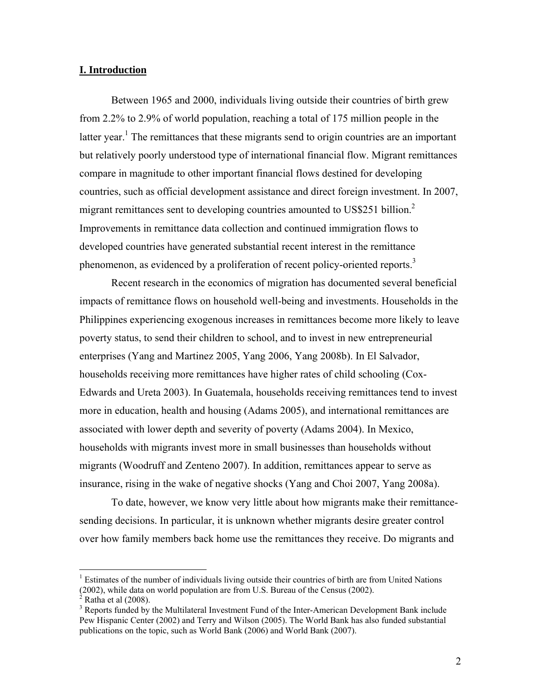## **I. Introduction**

Between 1965 and 2000, individuals living outside their countries of birth grew from 2.2% to 2.9% of world population, reaching a total of 175 million people in the latter year.<sup>1</sup> The remittances that these migrants send to origin countries are an important but relatively poorly understood type of international financial flow. Migrant remittances compare in magnitude to other important financial flows destined for developing countries, such as official development assistance and direct foreign investment. In 2007, migrant remittances sent to developing countries amounted to US\$251 billion.<sup>2</sup> Improvements in remittance data collection and continued immigration flows to developed countries have generated substantial recent interest in the remittance phenomenon, as evidenced by a proliferation of recent policy-oriented reports.<sup>3</sup>

Recent research in the economics of migration has documented several beneficial impacts of remittance flows on household well-being and investments. Households in the Philippines experiencing exogenous increases in remittances become more likely to leave poverty status, to send their children to school, and to invest in new entrepreneurial enterprises (Yang and Martinez 2005, Yang 2006, Yang 2008b). In El Salvador, households receiving more remittances have higher rates of child schooling (Cox-Edwards and Ureta 2003). In Guatemala, households receiving remittances tend to invest more in education, health and housing (Adams 2005), and international remittances are associated with lower depth and severity of poverty (Adams 2004). In Mexico, households with migrants invest more in small businesses than households without migrants (Woodruff and Zenteno 2007). In addition, remittances appear to serve as insurance, rising in the wake of negative shocks (Yang and Choi 2007, Yang 2008a).

To date, however, we know very little about how migrants make their remittancesending decisions. In particular, it is unknown whether migrants desire greater control over how family members back home use the remittances they receive. Do migrants and

1

<sup>&</sup>lt;sup>1</sup> Estimates of the number of individuals living outside their countries of birth are from United Nations (2002), while data on world population are from U.S. Bureau of the Census (2002).  $\hat{2}$ 

Ratha et al (2008).

<sup>&</sup>lt;sup>3</sup> Reports funded by the Multilateral Investment Fund of the Inter-American Development Bank include Pew Hispanic Center (2002) and Terry and Wilson (2005). The World Bank has also funded substantial publications on the topic, such as World Bank (2006) and World Bank (2007).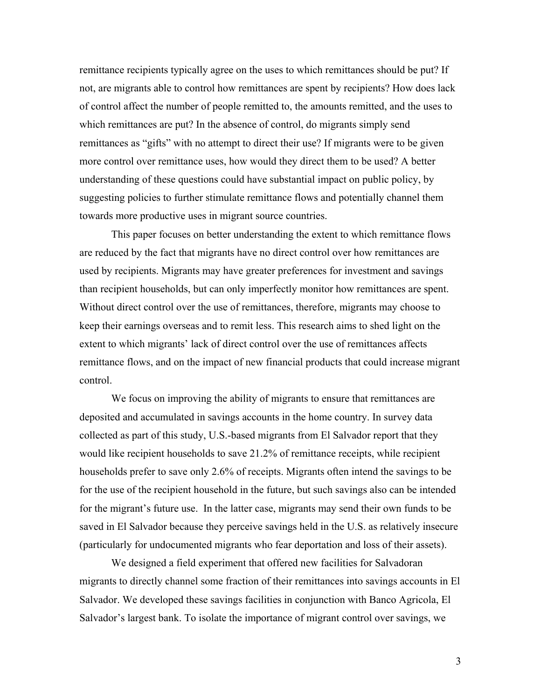remittance recipients typically agree on the uses to which remittances should be put? If not, are migrants able to control how remittances are spent by recipients? How does lack of control affect the number of people remitted to, the amounts remitted, and the uses to which remittances are put? In the absence of control, do migrants simply send remittances as "gifts" with no attempt to direct their use? If migrants were to be given more control over remittance uses, how would they direct them to be used? A better understanding of these questions could have substantial impact on public policy, by suggesting policies to further stimulate remittance flows and potentially channel them towards more productive uses in migrant source countries.

This paper focuses on better understanding the extent to which remittance flows are reduced by the fact that migrants have no direct control over how remittances are used by recipients. Migrants may have greater preferences for investment and savings than recipient households, but can only imperfectly monitor how remittances are spent. Without direct control over the use of remittances, therefore, migrants may choose to keep their earnings overseas and to remit less. This research aims to shed light on the extent to which migrants' lack of direct control over the use of remittances affects remittance flows, and on the impact of new financial products that could increase migrant control.

We focus on improving the ability of migrants to ensure that remittances are deposited and accumulated in savings accounts in the home country. In survey data collected as part of this study, U.S.-based migrants from El Salvador report that they would like recipient households to save 21.2% of remittance receipts, while recipient households prefer to save only 2.6% of receipts. Migrants often intend the savings to be for the use of the recipient household in the future, but such savings also can be intended for the migrant's future use. In the latter case, migrants may send their own funds to be saved in El Salvador because they perceive savings held in the U.S. as relatively insecure (particularly for undocumented migrants who fear deportation and loss of their assets).

We designed a field experiment that offered new facilities for Salvadoran migrants to directly channel some fraction of their remittances into savings accounts in El Salvador. We developed these savings facilities in conjunction with Banco Agricola, El Salvador's largest bank. To isolate the importance of migrant control over savings, we

3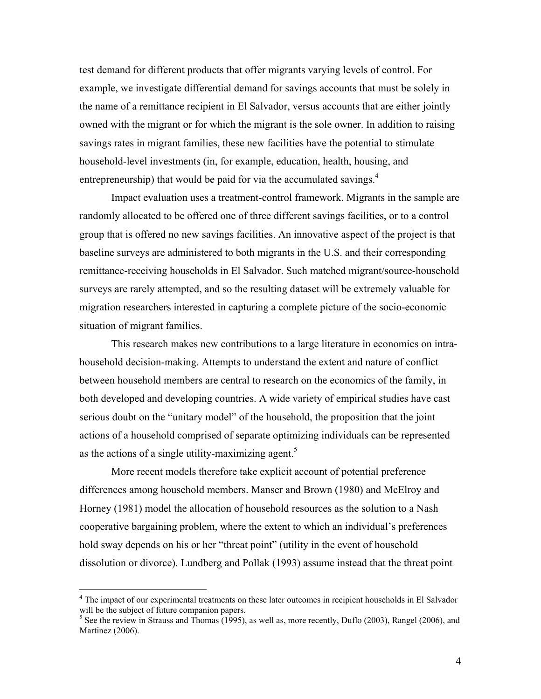test demand for different products that offer migrants varying levels of control. For example, we investigate differential demand for savings accounts that must be solely in the name of a remittance recipient in El Salvador, versus accounts that are either jointly owned with the migrant or for which the migrant is the sole owner. In addition to raising savings rates in migrant families, these new facilities have the potential to stimulate household-level investments (in, for example, education, health, housing, and entrepreneurship) that would be paid for via the accumulated savings.<sup>4</sup>

Impact evaluation uses a treatment-control framework. Migrants in the sample are randomly allocated to be offered one of three different savings facilities, or to a control group that is offered no new savings facilities. An innovative aspect of the project is that baseline surveys are administered to both migrants in the U.S. and their corresponding remittance-receiving households in El Salvador. Such matched migrant/source-household surveys are rarely attempted, and so the resulting dataset will be extremely valuable for migration researchers interested in capturing a complete picture of the socio-economic situation of migrant families.

This research makes new contributions to a large literature in economics on intrahousehold decision-making. Attempts to understand the extent and nature of conflict between household members are central to research on the economics of the family, in both developed and developing countries. A wide variety of empirical studies have cast serious doubt on the "unitary model" of the household, the proposition that the joint actions of a household comprised of separate optimizing individuals can be represented as the actions of a single utility-maximizing agent.<sup>5</sup>

More recent models therefore take explicit account of potential preference differences among household members. Manser and Brown (1980) and McElroy and Horney (1981) model the allocation of household resources as the solution to a Nash cooperative bargaining problem, where the extent to which an individual's preferences hold sway depends on his or her "threat point" (utility in the event of household dissolution or divorce). Lundberg and Pollak (1993) assume instead that the threat point

 $\overline{a}$ 

<sup>&</sup>lt;sup>4</sup> The impact of our experimental treatments on these later outcomes in recipient households in El Salvador will be the subject of future companion papers.

 $<sup>5</sup>$  See the review in Strauss and Thomas (1995), as well as, more recently, Duflo (2003), Rangel (2006), and</sup> Martinez (2006).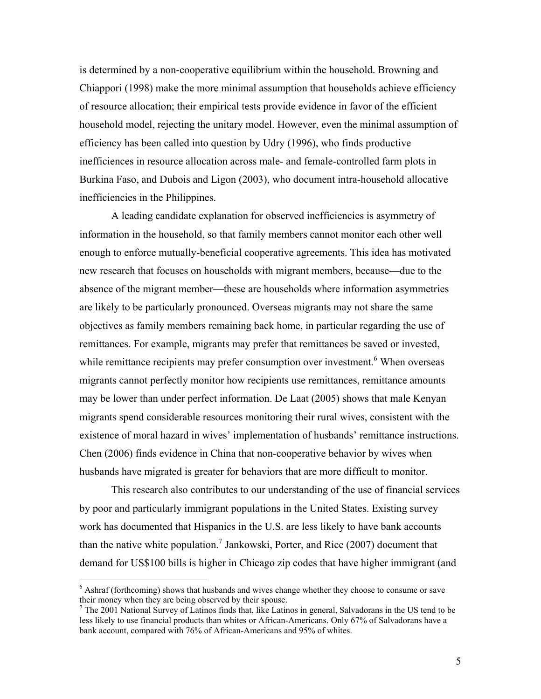is determined by a non-cooperative equilibrium within the household. Browning and Chiappori (1998) make the more minimal assumption that households achieve efficiency of resource allocation; their empirical tests provide evidence in favor of the efficient household model, rejecting the unitary model. However, even the minimal assumption of efficiency has been called into question by Udry (1996), who finds productive inefficiences in resource allocation across male- and female-controlled farm plots in Burkina Faso, and Dubois and Ligon (2003), who document intra-household allocative inefficiencies in the Philippines.

A leading candidate explanation for observed inefficiencies is asymmetry of information in the household, so that family members cannot monitor each other well enough to enforce mutually-beneficial cooperative agreements. This idea has motivated new research that focuses on households with migrant members, because—due to the absence of the migrant member—these are households where information asymmetries are likely to be particularly pronounced. Overseas migrants may not share the same objectives as family members remaining back home, in particular regarding the use of remittances. For example, migrants may prefer that remittances be saved or invested, while remittance recipients may prefer consumption over investment.<sup>6</sup> When overseas migrants cannot perfectly monitor how recipients use remittances, remittance amounts may be lower than under perfect information. De Laat (2005) shows that male Kenyan migrants spend considerable resources monitoring their rural wives, consistent with the existence of moral hazard in wives' implementation of husbands' remittance instructions. Chen (2006) finds evidence in China that non-cooperative behavior by wives when husbands have migrated is greater for behaviors that are more difficult to monitor.

This research also contributes to our understanding of the use of financial services by poor and particularly immigrant populations in the United States. Existing survey work has documented that Hispanics in the U.S. are less likely to have bank accounts than the native white population.<sup>7</sup> Jankowski, Porter, and Rice (2007) document that demand for US\$100 bills is higher in Chicago zip codes that have higher immigrant (and

 6 Ashraf (forthcoming) shows that husbands and wives change whether they choose to consume or save their money when they are being observed by their spouse.

<sup>&</sup>lt;sup>7</sup> The 2001 National Survey of Latinos finds that, like Latinos in general, Salvadorans in the US tend to be less likely to use financial products than whites or African-Americans. Only 67% of Salvadorans have a bank account, compared with 76% of African-Americans and 95% of whites.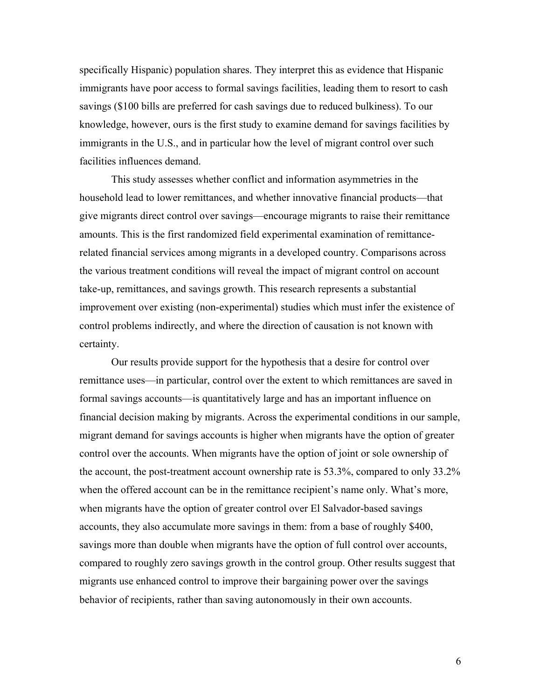specifically Hispanic) population shares. They interpret this as evidence that Hispanic immigrants have poor access to formal savings facilities, leading them to resort to cash savings (\$100 bills are preferred for cash savings due to reduced bulkiness). To our knowledge, however, ours is the first study to examine demand for savings facilities by immigrants in the U.S., and in particular how the level of migrant control over such facilities influences demand.

This study assesses whether conflict and information asymmetries in the household lead to lower remittances, and whether innovative financial products—that give migrants direct control over savings—encourage migrants to raise their remittance amounts. This is the first randomized field experimental examination of remittancerelated financial services among migrants in a developed country. Comparisons across the various treatment conditions will reveal the impact of migrant control on account take-up, remittances, and savings growth. This research represents a substantial improvement over existing (non-experimental) studies which must infer the existence of control problems indirectly, and where the direction of causation is not known with certainty.

Our results provide support for the hypothesis that a desire for control over remittance uses—in particular, control over the extent to which remittances are saved in formal savings accounts—is quantitatively large and has an important influence on financial decision making by migrants. Across the experimental conditions in our sample, migrant demand for savings accounts is higher when migrants have the option of greater control over the accounts. When migrants have the option of joint or sole ownership of the account, the post-treatment account ownership rate is 53.3%, compared to only 33.2% when the offered account can be in the remittance recipient's name only. What's more, when migrants have the option of greater control over El Salvador-based savings accounts, they also accumulate more savings in them: from a base of roughly \$400, savings more than double when migrants have the option of full control over accounts, compared to roughly zero savings growth in the control group. Other results suggest that migrants use enhanced control to improve their bargaining power over the savings behavior of recipients, rather than saving autonomously in their own accounts.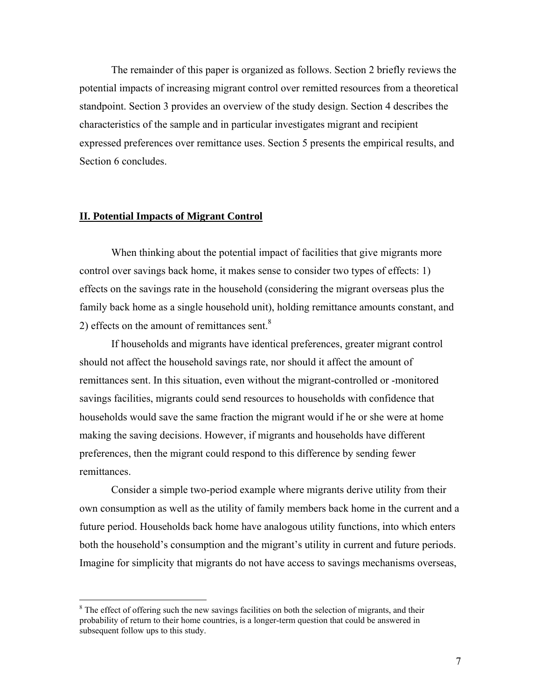The remainder of this paper is organized as follows. Section 2 briefly reviews the potential impacts of increasing migrant control over remitted resources from a theoretical standpoint. Section 3 provides an overview of the study design. Section 4 describes the characteristics of the sample and in particular investigates migrant and recipient expressed preferences over remittance uses. Section 5 presents the empirical results, and Section 6 concludes.

#### **II. Potential Impacts of Migrant Control**

 $\overline{a}$ 

When thinking about the potential impact of facilities that give migrants more control over savings back home, it makes sense to consider two types of effects: 1) effects on the savings rate in the household (considering the migrant overseas plus the family back home as a single household unit), holding remittance amounts constant, and 2) effects on the amount of remittances sent. $8$ 

If households and migrants have identical preferences, greater migrant control should not affect the household savings rate, nor should it affect the amount of remittances sent. In this situation, even without the migrant-controlled or -monitored savings facilities, migrants could send resources to households with confidence that households would save the same fraction the migrant would if he or she were at home making the saving decisions. However, if migrants and households have different preferences, then the migrant could respond to this difference by sending fewer remittances.

Consider a simple two-period example where migrants derive utility from their own consumption as well as the utility of family members back home in the current and a future period. Households back home have analogous utility functions, into which enters both the household's consumption and the migrant's utility in current and future periods. Imagine for simplicity that migrants do not have access to savings mechanisms overseas,

 $8$  The effect of offering such the new savings facilities on both the selection of migrants, and their probability of return to their home countries, is a longer-term question that could be answered in subsequent follow ups to this study.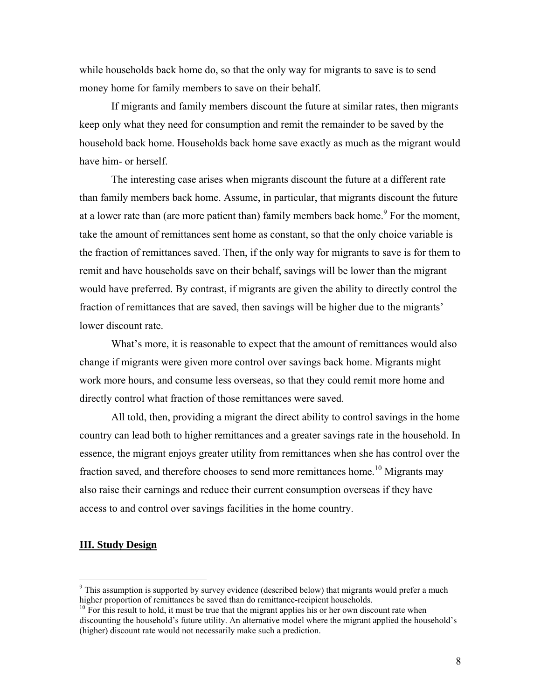while households back home do, so that the only way for migrants to save is to send money home for family members to save on their behalf.

If migrants and family members discount the future at similar rates, then migrants keep only what they need for consumption and remit the remainder to be saved by the household back home. Households back home save exactly as much as the migrant would have him- or herself.

The interesting case arises when migrants discount the future at a different rate than family members back home. Assume, in particular, that migrants discount the future at a lower rate than (are more patient than) family members back home.<sup>9</sup> For the moment, take the amount of remittances sent home as constant, so that the only choice variable is the fraction of remittances saved. Then, if the only way for migrants to save is for them to remit and have households save on their behalf, savings will be lower than the migrant would have preferred. By contrast, if migrants are given the ability to directly control the fraction of remittances that are saved, then savings will be higher due to the migrants' lower discount rate.

What's more, it is reasonable to expect that the amount of remittances would also change if migrants were given more control over savings back home. Migrants might work more hours, and consume less overseas, so that they could remit more home and directly control what fraction of those remittances were saved.

All told, then, providing a migrant the direct ability to control savings in the home country can lead both to higher remittances and a greater savings rate in the household. In essence, the migrant enjoys greater utility from remittances when she has control over the fraction saved, and therefore chooses to send more remittances home.<sup>10</sup> Migrants may also raise their earnings and reduce their current consumption overseas if they have access to and control over savings facilities in the home country.

## **III. Study Design**

 $\overline{a}$ 

 $9$  This assumption is supported by survey evidence (described below) that migrants would prefer a much higher proportion of remittances be saved than do remittance-recipient households.<br><sup>10</sup> For this result to hold, it must be true that the migrant applies his or her own discount rate when

discounting the household's future utility. An alternative model where the migrant applied the household's (higher) discount rate would not necessarily make such a prediction.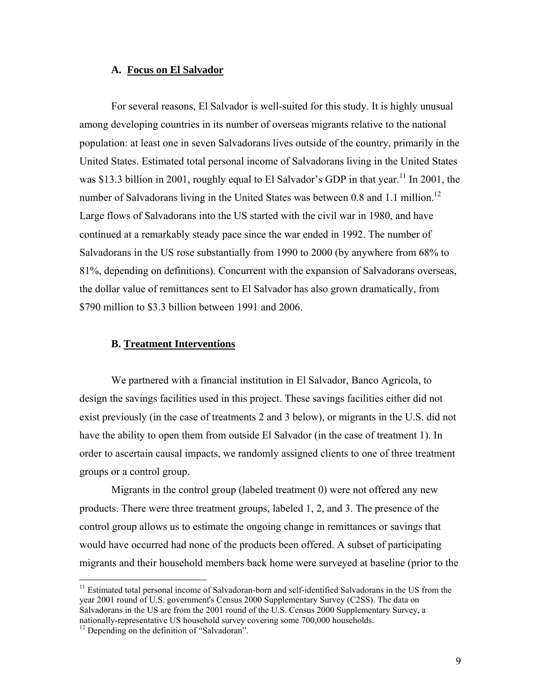### **A. Focus on El Salvador**

For several reasons, El Salvador is well-suited for this study. It is highly unusual among developing countries in its number of overseas migrants relative to the national population: at least one in seven Salvadorans lives outside of the country, primarily in the United States. Estimated total personal income of Salvadorans living in the United States was \$13.3 billion in 2001, roughly equal to El Salvador's GDP in that year.<sup>11</sup> In 2001, the number of Salvadorans living in the United States was between 0.8 and 1.1 million.<sup>12</sup> Large flows of Salvadorans into the US started with the civil war in 1980, and have continued at a remarkably steady pace since the war ended in 1992. The number of Salvadorans in the US rose substantially from 1990 to 2000 (by anywhere from 68% to 81%, depending on definitions). Concurrent with the expansion of Salvadorans overseas, the dollar value of remittances sent to El Salvador has also grown dramatically, from \$790 million to \$3.3 billion between 1991 and 2006.

## **B. Treatment Interventions**

We partnered with a financial institution in El Salvador, Banco Agricola, to design the savings facilities used in this project. These savings facilities either did not exist previously (in the case of treatments 2 and 3 below), or migrants in the U.S. did not have the ability to open them from outside El Salvador (in the case of treatment 1). In order to ascertain causal impacts, we randomly assigned clients to one of three treatment groups or a control group.

Migrants in the control group (labeled treatment 0) were not offered any new products. There were three treatment groups, labeled 1, 2, and 3. The presence of the control group allows us to estimate the ongoing change in remittances or savings that would have occurred had none of the products been offered. A subset of participating migrants and their household members back home were surveyed at baseline (prior to the

 $\overline{a}$ 

<sup>&</sup>lt;sup>11</sup> Estimated total personal income of Salvadoran-born and self-identified Salvadorans in the US from the year 2001 round of U.S. government's Census 2000 Supplementary Survey (C2SS). The data on Salvadorans in the US are from the 2001 round of the U.S. Census 2000 Supplementary Survey, a nationally-representative US household survey covering some 700,000 households.

<sup>&</sup>lt;sup>12</sup> Depending on the definition of "Salvadoran".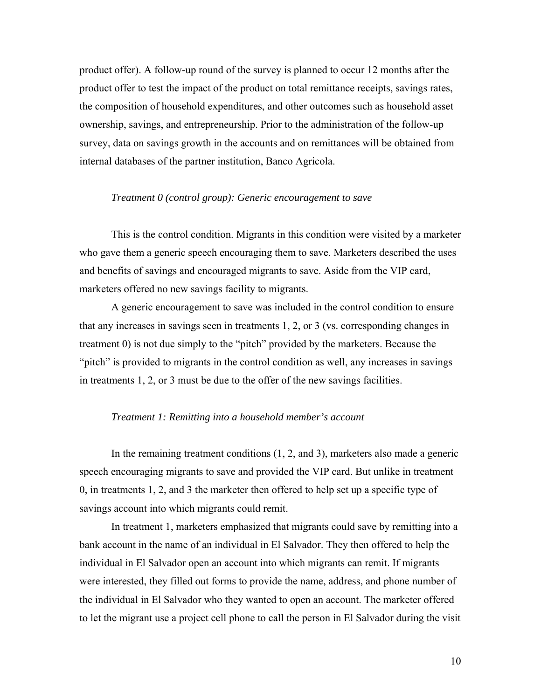product offer). A follow-up round of the survey is planned to occur 12 months after the product offer to test the impact of the product on total remittance receipts, savings rates, the composition of household expenditures, and other outcomes such as household asset ownership, savings, and entrepreneurship. Prior to the administration of the follow-up survey, data on savings growth in the accounts and on remittances will be obtained from internal databases of the partner institution, Banco Agricola.

## *Treatment 0 (control group): Generic encouragement to save*

 This is the control condition. Migrants in this condition were visited by a marketer who gave them a generic speech encouraging them to save. Marketers described the uses and benefits of savings and encouraged migrants to save. Aside from the VIP card, marketers offered no new savings facility to migrants.

 A generic encouragement to save was included in the control condition to ensure that any increases in savings seen in treatments 1, 2, or 3 (vs. corresponding changes in treatment 0) is not due simply to the "pitch" provided by the marketers. Because the "pitch" is provided to migrants in the control condition as well, any increases in savings in treatments 1, 2, or 3 must be due to the offer of the new savings facilities.

## *Treatment 1: Remitting into a household member's account*

 In the remaining treatment conditions (1, 2, and 3), marketers also made a generic speech encouraging migrants to save and provided the VIP card. But unlike in treatment 0, in treatments 1, 2, and 3 the marketer then offered to help set up a specific type of savings account into which migrants could remit.

 In treatment 1, marketers emphasized that migrants could save by remitting into a bank account in the name of an individual in El Salvador. They then offered to help the individual in El Salvador open an account into which migrants can remit. If migrants were interested, they filled out forms to provide the name, address, and phone number of the individual in El Salvador who they wanted to open an account. The marketer offered to let the migrant use a project cell phone to call the person in El Salvador during the visit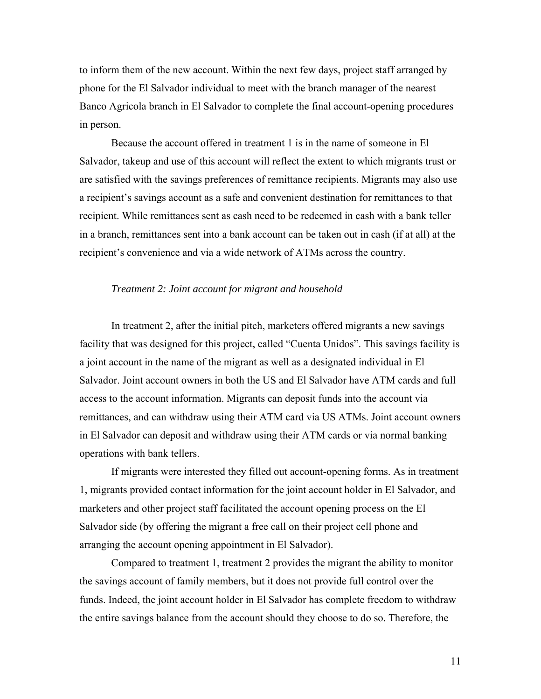to inform them of the new account. Within the next few days, project staff arranged by phone for the El Salvador individual to meet with the branch manager of the nearest Banco Agricola branch in El Salvador to complete the final account-opening procedures in person.

 Because the account offered in treatment 1 is in the name of someone in El Salvador, takeup and use of this account will reflect the extent to which migrants trust or are satisfied with the savings preferences of remittance recipients. Migrants may also use a recipient's savings account as a safe and convenient destination for remittances to that recipient. While remittances sent as cash need to be redeemed in cash with a bank teller in a branch, remittances sent into a bank account can be taken out in cash (if at all) at the recipient's convenience and via a wide network of ATMs across the country.

#### *Treatment 2: Joint account for migrant and household*

 In treatment 2, after the initial pitch, marketers offered migrants a new savings facility that was designed for this project, called "Cuenta Unidos". This savings facility is a joint account in the name of the migrant as well as a designated individual in El Salvador. Joint account owners in both the US and El Salvador have ATM cards and full access to the account information. Migrants can deposit funds into the account via remittances, and can withdraw using their ATM card via US ATMs. Joint account owners in El Salvador can deposit and withdraw using their ATM cards or via normal banking operations with bank tellers.

 If migrants were interested they filled out account-opening forms. As in treatment 1, migrants provided contact information for the joint account holder in El Salvador, and marketers and other project staff facilitated the account opening process on the El Salvador side (by offering the migrant a free call on their project cell phone and arranging the account opening appointment in El Salvador).

 Compared to treatment 1, treatment 2 provides the migrant the ability to monitor the savings account of family members, but it does not provide full control over the funds. Indeed, the joint account holder in El Salvador has complete freedom to withdraw the entire savings balance from the account should they choose to do so. Therefore, the

11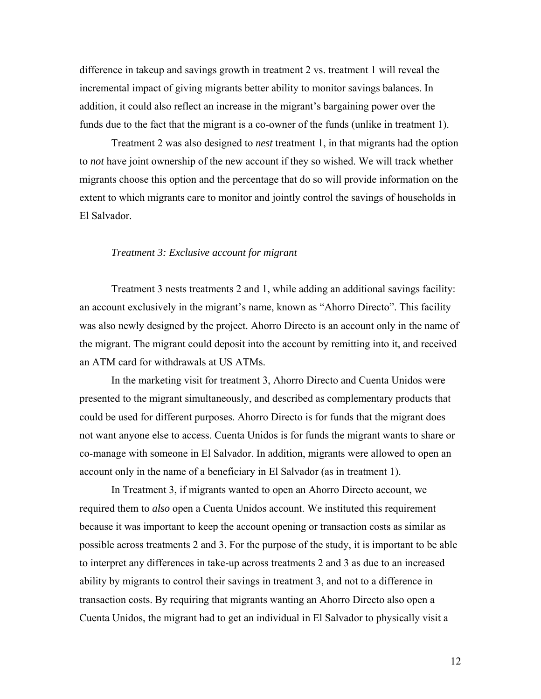difference in takeup and savings growth in treatment 2 vs. treatment 1 will reveal the incremental impact of giving migrants better ability to monitor savings balances. In addition, it could also reflect an increase in the migrant's bargaining power over the funds due to the fact that the migrant is a co-owner of the funds (unlike in treatment 1).

 Treatment 2 was also designed to *nest* treatment 1, in that migrants had the option to *not* have joint ownership of the new account if they so wished. We will track whether migrants choose this option and the percentage that do so will provide information on the extent to which migrants care to monitor and jointly control the savings of households in El Salvador.

#### *Treatment 3: Exclusive account for migrant*

 Treatment 3 nests treatments 2 and 1, while adding an additional savings facility: an account exclusively in the migrant's name, known as "Ahorro Directo". This facility was also newly designed by the project. Ahorro Directo is an account only in the name of the migrant. The migrant could deposit into the account by remitting into it, and received an ATM card for withdrawals at US ATMs.

 In the marketing visit for treatment 3, Ahorro Directo and Cuenta Unidos were presented to the migrant simultaneously, and described as complementary products that could be used for different purposes. Ahorro Directo is for funds that the migrant does not want anyone else to access. Cuenta Unidos is for funds the migrant wants to share or co-manage with someone in El Salvador. In addition, migrants were allowed to open an account only in the name of a beneficiary in El Salvador (as in treatment 1).

 In Treatment 3, if migrants wanted to open an Ahorro Directo account, we required them to *also* open a Cuenta Unidos account. We instituted this requirement because it was important to keep the account opening or transaction costs as similar as possible across treatments 2 and 3. For the purpose of the study, it is important to be able to interpret any differences in take-up across treatments 2 and 3 as due to an increased ability by migrants to control their savings in treatment 3, and not to a difference in transaction costs. By requiring that migrants wanting an Ahorro Directo also open a Cuenta Unidos, the migrant had to get an individual in El Salvador to physically visit a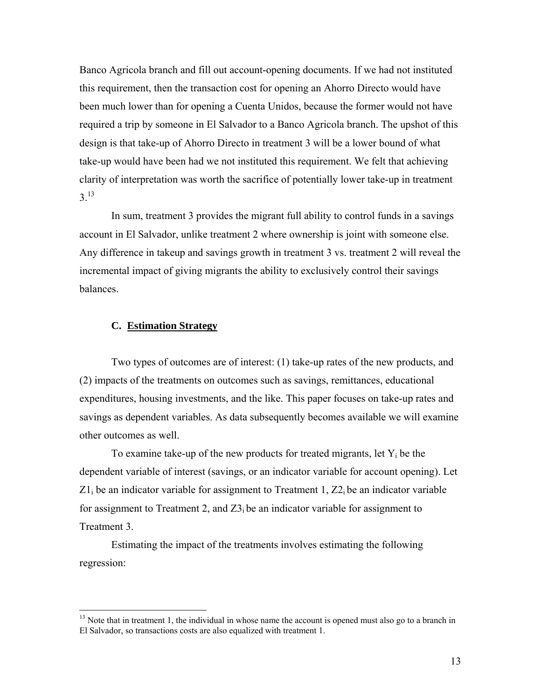Banco Agricola branch and fill out account-opening documents. If we had not instituted this requirement, then the transaction cost for opening an Ahorro Directo would have been much lower than for opening a Cuenta Unidos, because the former would not have required a trip by someone in El Salvador to a Banco Agricola branch. The upshot of this design is that take-up of Ahorro Directo in treatment 3 will be a lower bound of what take-up would have been had we not instituted this requirement. We felt that achieving clarity of interpretation was worth the sacrifice of potentially lower take-up in treatment 3.13

 In sum, treatment 3 provides the migrant full ability to control funds in a savings account in El Salvador, unlike treatment 2 where ownership is joint with someone else. Any difference in takeup and savings growth in treatment 3 vs. treatment 2 will reveal the incremental impact of giving migrants the ability to exclusively control their savings balances.

## **C. Estimation Strategy**

1

Two types of outcomes are of interest: (1) take-up rates of the new products, and (2) impacts of the treatments on outcomes such as savings, remittances, educational expenditures, housing investments, and the like. This paper focuses on take-up rates and savings as dependent variables. As data subsequently becomes available we will examine other outcomes as well.

To examine take-up of the new products for treated migrants, let  $Y_i$  be the dependent variable of interest (savings, or an indicator variable for account opening). Let  $Z_1$  be an indicator variable for assignment to Treatment 1,  $Z_2$  be an indicator variable for assignment to Treatment 2, and  $Z_1$  be an indicator variable for assignment to Treatment 3.

 Estimating the impact of the treatments involves estimating the following regression:

 $13$  Note that in treatment 1, the individual in whose name the account is opened must also go to a branch in El Salvador, so transactions costs are also equalized with treatment 1.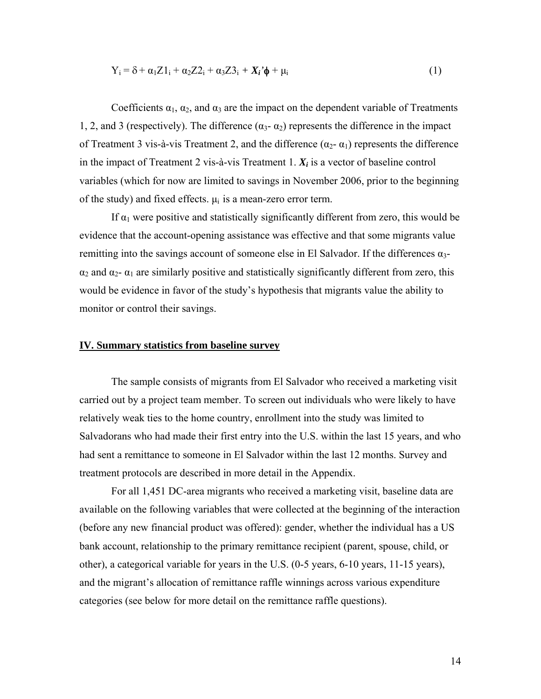$$
Y_i = \delta + \alpha_1 Z 1_i + \alpha_2 Z 2_i + \alpha_3 Z 3_i + X_i \phi + \mu_i \tag{1}
$$

Coefficients  $\alpha_1, \alpha_2$ , and  $\alpha_3$  are the impact on the dependent variable of Treatments 1, 2, and 3 (respectively). The difference  $(\alpha_3 - \alpha_2)$  represents the difference in the impact of Treatment 3 vis-à-vis Treatment 2, and the difference  $(\alpha_2 - \alpha_1)$  represents the difference in the impact of Treatment 2 vis-à-vis Treatment 1.  $X_i$  is a vector of baseline control variables (which for now are limited to savings in November 2006, prior to the beginning of the study) and fixed effects.  $\mu_i$  is a mean-zero error term.

If  $\alpha_1$  were positive and statistically significantly different from zero, this would be evidence that the account-opening assistance was effective and that some migrants value remitting into the savings account of someone else in El Salvador. If the differences  $\alpha_3$ - $\alpha_2$  and  $\alpha_2$ -  $\alpha_1$  are similarly positive and statistically significantly different from zero, this would be evidence in favor of the study's hypothesis that migrants value the ability to monitor or control their savings.

#### **IV. Summary statistics from baseline survey**

The sample consists of migrants from El Salvador who received a marketing visit carried out by a project team member. To screen out individuals who were likely to have relatively weak ties to the home country, enrollment into the study was limited to Salvadorans who had made their first entry into the U.S. within the last 15 years, and who had sent a remittance to someone in El Salvador within the last 12 months. Survey and treatment protocols are described in more detail in the Appendix.

For all 1,451 DC-area migrants who received a marketing visit, baseline data are available on the following variables that were collected at the beginning of the interaction (before any new financial product was offered): gender, whether the individual has a US bank account, relationship to the primary remittance recipient (parent, spouse, child, or other), a categorical variable for years in the U.S. (0-5 years, 6-10 years, 11-15 years), and the migrant's allocation of remittance raffle winnings across various expenditure categories (see below for more detail on the remittance raffle questions).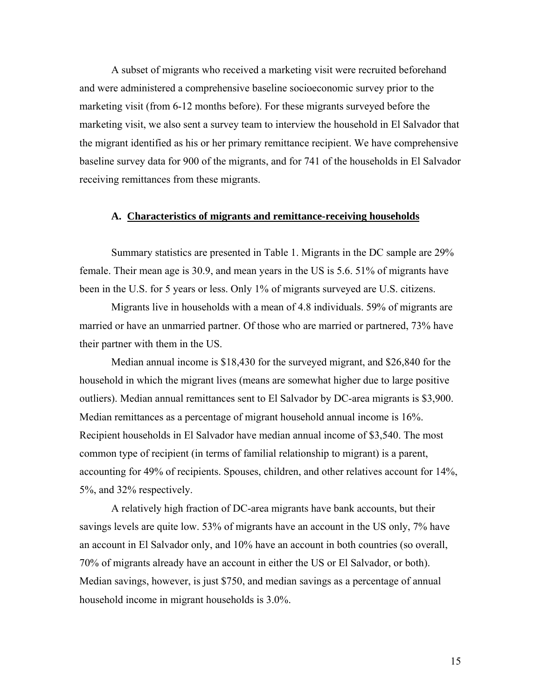A subset of migrants who received a marketing visit were recruited beforehand and were administered a comprehensive baseline socioeconomic survey prior to the marketing visit (from 6-12 months before). For these migrants surveyed before the marketing visit, we also sent a survey team to interview the household in El Salvador that the migrant identified as his or her primary remittance recipient. We have comprehensive baseline survey data for 900 of the migrants, and for 741 of the households in El Salvador receiving remittances from these migrants.

#### **A. Characteristics of migrants and remittance-receiving households**

Summary statistics are presented in Table 1. Migrants in the DC sample are 29% female. Their mean age is 30.9, and mean years in the US is 5.6. 51% of migrants have been in the U.S. for 5 years or less. Only 1% of migrants surveyed are U.S. citizens.

Migrants live in households with a mean of 4.8 individuals. 59% of migrants are married or have an unmarried partner. Of those who are married or partnered, 73% have their partner with them in the US.

Median annual income is \$18,430 for the surveyed migrant, and \$26,840 for the household in which the migrant lives (means are somewhat higher due to large positive outliers). Median annual remittances sent to El Salvador by DC-area migrants is \$3,900. Median remittances as a percentage of migrant household annual income is 16%. Recipient households in El Salvador have median annual income of \$3,540. The most common type of recipient (in terms of familial relationship to migrant) is a parent, accounting for 49% of recipients. Spouses, children, and other relatives account for 14%, 5%, and 32% respectively.

 A relatively high fraction of DC-area migrants have bank accounts, but their savings levels are quite low. 53% of migrants have an account in the US only, 7% have an account in El Salvador only, and 10% have an account in both countries (so overall, 70% of migrants already have an account in either the US or El Salvador, or both). Median savings, however, is just \$750, and median savings as a percentage of annual household income in migrant households is 3.0%.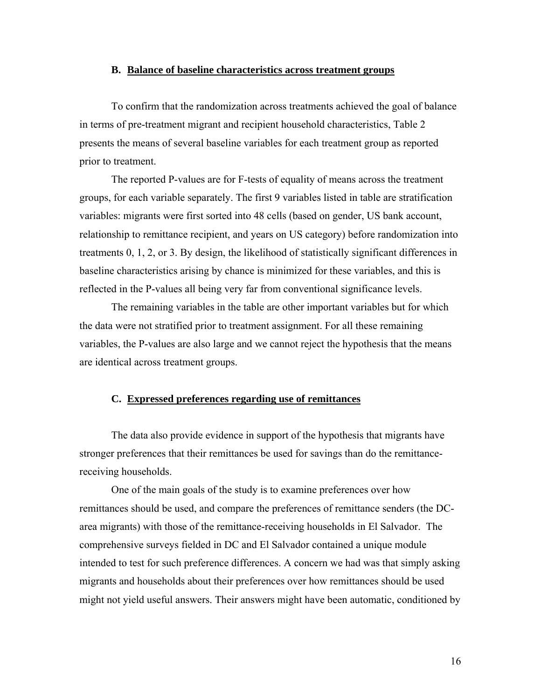#### **B. Balance of baseline characteristics across treatment groups**

To confirm that the randomization across treatments achieved the goal of balance in terms of pre-treatment migrant and recipient household characteristics, Table 2 presents the means of several baseline variables for each treatment group as reported prior to treatment.

The reported P-values are for F-tests of equality of means across the treatment groups, for each variable separately. The first 9 variables listed in table are stratification variables: migrants were first sorted into 48 cells (based on gender, US bank account, relationship to remittance recipient, and years on US category) before randomization into treatments 0, 1, 2, or 3. By design, the likelihood of statistically significant differences in baseline characteristics arising by chance is minimized for these variables, and this is reflected in the P-values all being very far from conventional significance levels.

The remaining variables in the table are other important variables but for which the data were not stratified prior to treatment assignment. For all these remaining variables, the P-values are also large and we cannot reject the hypothesis that the means are identical across treatment groups.

## **C. Expressed preferences regarding use of remittances**

 The data also provide evidence in support of the hypothesis that migrants have stronger preferences that their remittances be used for savings than do the remittancereceiving households.

One of the main goals of the study is to examine preferences over how remittances should be used, and compare the preferences of remittance senders (the DCarea migrants) with those of the remittance-receiving households in El Salvador. The comprehensive surveys fielded in DC and El Salvador contained a unique module intended to test for such preference differences. A concern we had was that simply asking migrants and households about their preferences over how remittances should be used might not yield useful answers. Their answers might have been automatic, conditioned by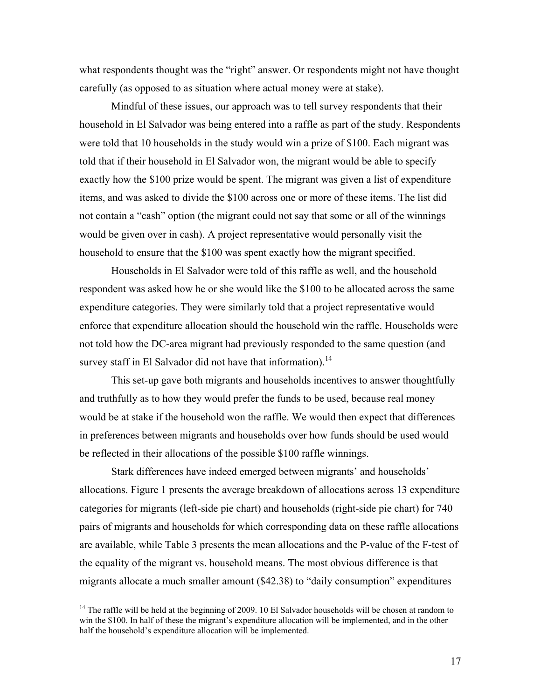what respondents thought was the "right" answer. Or respondents might not have thought carefully (as opposed to as situation where actual money were at stake).

 Mindful of these issues, our approach was to tell survey respondents that their household in El Salvador was being entered into a raffle as part of the study. Respondents were told that 10 households in the study would win a prize of \$100. Each migrant was told that if their household in El Salvador won, the migrant would be able to specify exactly how the \$100 prize would be spent. The migrant was given a list of expenditure items, and was asked to divide the \$100 across one or more of these items. The list did not contain a "cash" option (the migrant could not say that some or all of the winnings would be given over in cash). A project representative would personally visit the household to ensure that the \$100 was spent exactly how the migrant specified.

Households in El Salvador were told of this raffle as well, and the household respondent was asked how he or she would like the \$100 to be allocated across the same expenditure categories. They were similarly told that a project representative would enforce that expenditure allocation should the household win the raffle. Households were not told how the DC-area migrant had previously responded to the same question (and survey staff in El Salvador did not have that information).<sup>14</sup>

This set-up gave both migrants and households incentives to answer thoughtfully and truthfully as to how they would prefer the funds to be used, because real money would be at stake if the household won the raffle. We would then expect that differences in preferences between migrants and households over how funds should be used would be reflected in their allocations of the possible \$100 raffle winnings.

Stark differences have indeed emerged between migrants' and households' allocations. Figure 1 presents the average breakdown of allocations across 13 expenditure categories for migrants (left-side pie chart) and households (right-side pie chart) for 740 pairs of migrants and households for which corresponding data on these raffle allocations are available, while Table 3 presents the mean allocations and the P-value of the F-test of the equality of the migrant vs. household means. The most obvious difference is that migrants allocate a much smaller amount (\$42.38) to "daily consumption" expenditures

 $\overline{a}$ 

 $14$  The raffle will be held at the beginning of 2009. 10 El Salvador households will be chosen at random to win the \$100. In half of these the migrant's expenditure allocation will be implemented, and in the other half the household's expenditure allocation will be implemented.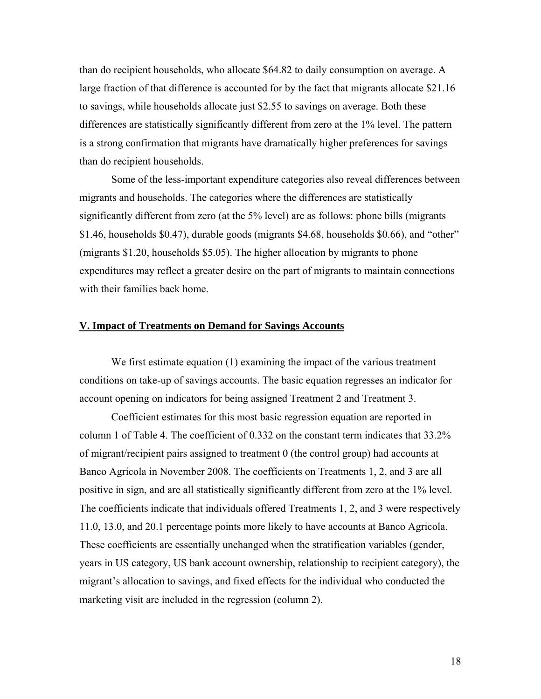than do recipient households, who allocate \$64.82 to daily consumption on average. A large fraction of that difference is accounted for by the fact that migrants allocate \$21.16 to savings, while households allocate just \$2.55 to savings on average. Both these differences are statistically significantly different from zero at the 1% level. The pattern is a strong confirmation that migrants have dramatically higher preferences for savings than do recipient households.

Some of the less-important expenditure categories also reveal differences between migrants and households. The categories where the differences are statistically significantly different from zero (at the 5% level) are as follows: phone bills (migrants \$1.46, households \$0.47), durable goods (migrants \$4.68, households \$0.66), and "other" (migrants \$1.20, households \$5.05). The higher allocation by migrants to phone expenditures may reflect a greater desire on the part of migrants to maintain connections with their families back home.

## **V. Impact of Treatments on Demand for Savings Accounts**

We first estimate equation (1) examining the impact of the various treatment conditions on take-up of savings accounts. The basic equation regresses an indicator for account opening on indicators for being assigned Treatment 2 and Treatment 3.

 Coefficient estimates for this most basic regression equation are reported in column 1 of Table 4. The coefficient of 0.332 on the constant term indicates that 33.2% of migrant/recipient pairs assigned to treatment 0 (the control group) had accounts at Banco Agricola in November 2008. The coefficients on Treatments 1, 2, and 3 are all positive in sign, and are all statistically significantly different from zero at the 1% level. The coefficients indicate that individuals offered Treatments 1, 2, and 3 were respectively 11.0, 13.0, and 20.1 percentage points more likely to have accounts at Banco Agricola. These coefficients are essentially unchanged when the stratification variables (gender, years in US category, US bank account ownership, relationship to recipient category), the migrant's allocation to savings, and fixed effects for the individual who conducted the marketing visit are included in the regression (column 2).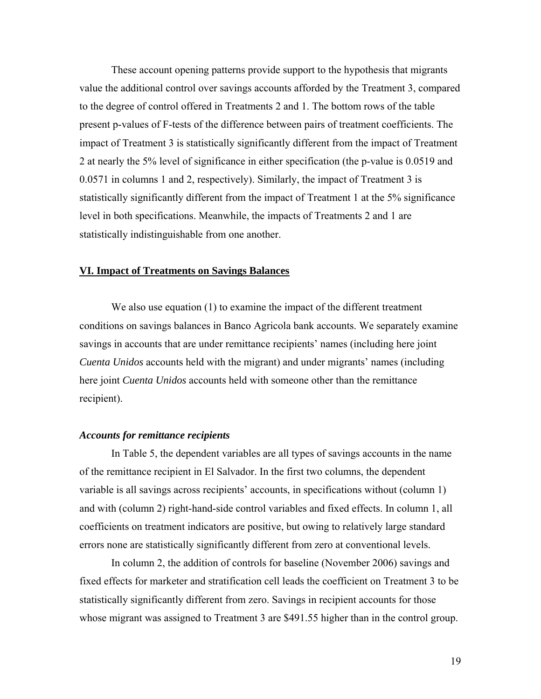These account opening patterns provide support to the hypothesis that migrants value the additional control over savings accounts afforded by the Treatment 3, compared to the degree of control offered in Treatments 2 and 1. The bottom rows of the table present p-values of F-tests of the difference between pairs of treatment coefficients. The impact of Treatment 3 is statistically significantly different from the impact of Treatment 2 at nearly the 5% level of significance in either specification (the p-value is 0.0519 and 0.0571 in columns 1 and 2, respectively). Similarly, the impact of Treatment 3 is statistically significantly different from the impact of Treatment 1 at the 5% significance level in both specifications. Meanwhile, the impacts of Treatments 2 and 1 are statistically indistinguishable from one another.

#### **VI. Impact of Treatments on Savings Balances**

 We also use equation (1) to examine the impact of the different treatment conditions on savings balances in Banco Agricola bank accounts. We separately examine savings in accounts that are under remittance recipients' names (including here joint *Cuenta Unidos* accounts held with the migrant) and under migrants' names (including here joint *Cuenta Unidos* accounts held with someone other than the remittance recipient).

## *Accounts for remittance recipients*

 In Table 5, the dependent variables are all types of savings accounts in the name of the remittance recipient in El Salvador. In the first two columns, the dependent variable is all savings across recipients' accounts, in specifications without (column 1) and with (column 2) right-hand-side control variables and fixed effects. In column 1, all coefficients on treatment indicators are positive, but owing to relatively large standard errors none are statistically significantly different from zero at conventional levels.

In column 2, the addition of controls for baseline (November 2006) savings and fixed effects for marketer and stratification cell leads the coefficient on Treatment 3 to be statistically significantly different from zero. Savings in recipient accounts for those whose migrant was assigned to Treatment 3 are \$491.55 higher than in the control group.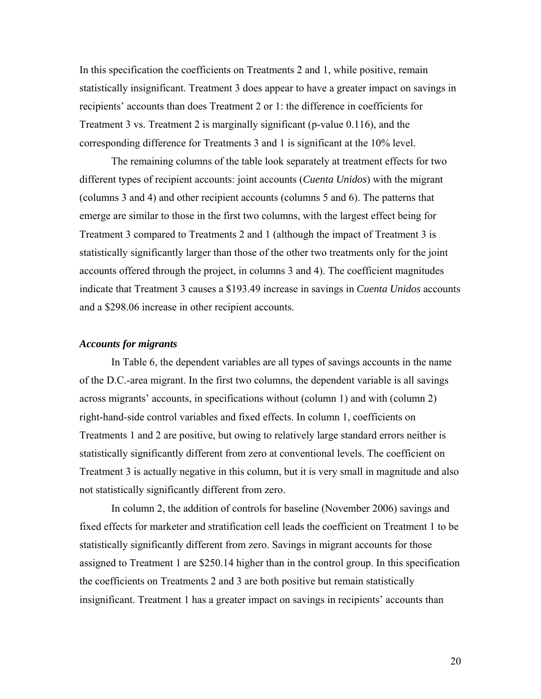In this specification the coefficients on Treatments 2 and 1, while positive, remain statistically insignificant. Treatment 3 does appear to have a greater impact on savings in recipients' accounts than does Treatment 2 or 1: the difference in coefficients for Treatment 3 vs. Treatment 2 is marginally significant (p-value 0.116), and the corresponding difference for Treatments 3 and 1 is significant at the 10% level.

 The remaining columns of the table look separately at treatment effects for two different types of recipient accounts: joint accounts (*Cuenta Unidos*) with the migrant (columns 3 and 4) and other recipient accounts (columns 5 and 6). The patterns that emerge are similar to those in the first two columns, with the largest effect being for Treatment 3 compared to Treatments 2 and 1 (although the impact of Treatment 3 is statistically significantly larger than those of the other two treatments only for the joint accounts offered through the project, in columns 3 and 4). The coefficient magnitudes indicate that Treatment 3 causes a \$193.49 increase in savings in *Cuenta Unidos* accounts and a \$298.06 increase in other recipient accounts.

#### *Accounts for migrants*

 In Table 6, the dependent variables are all types of savings accounts in the name of the D.C.-area migrant. In the first two columns, the dependent variable is all savings across migrants' accounts, in specifications without (column 1) and with (column 2) right-hand-side control variables and fixed effects. In column 1, coefficients on Treatments 1 and 2 are positive, but owing to relatively large standard errors neither is statistically significantly different from zero at conventional levels. The coefficient on Treatment 3 is actually negative in this column, but it is very small in magnitude and also not statistically significantly different from zero.

In column 2, the addition of controls for baseline (November 2006) savings and fixed effects for marketer and stratification cell leads the coefficient on Treatment 1 to be statistically significantly different from zero. Savings in migrant accounts for those assigned to Treatment 1 are \$250.14 higher than in the control group. In this specification the coefficients on Treatments 2 and 3 are both positive but remain statistically insignificant. Treatment 1 has a greater impact on savings in recipients' accounts than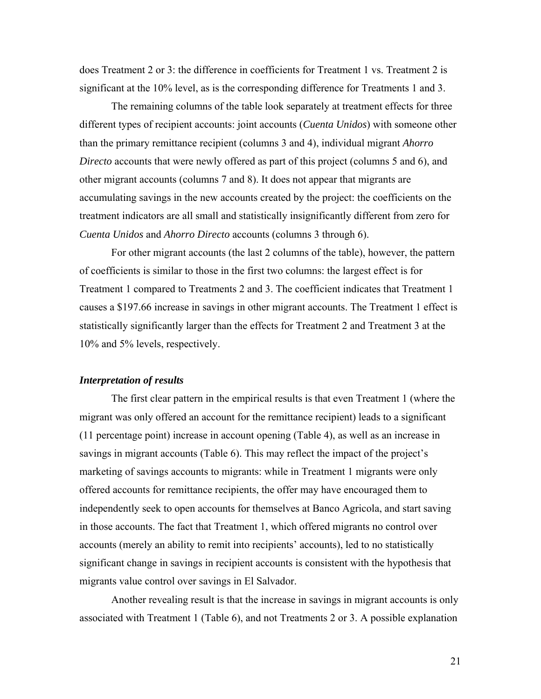does Treatment 2 or 3: the difference in coefficients for Treatment 1 vs. Treatment 2 is significant at the 10% level, as is the corresponding difference for Treatments 1 and 3.

 The remaining columns of the table look separately at treatment effects for three different types of recipient accounts: joint accounts (*Cuenta Unidos*) with someone other than the primary remittance recipient (columns 3 and 4), individual migrant *Ahorro Directo* accounts that were newly offered as part of this project (columns 5 and 6), and other migrant accounts (columns 7 and 8). It does not appear that migrants are accumulating savings in the new accounts created by the project: the coefficients on the treatment indicators are all small and statistically insignificantly different from zero for *Cuenta Unidos* and *Ahorro Directo* accounts (columns 3 through 6).

 For other migrant accounts (the last 2 columns of the table), however, the pattern of coefficients is similar to those in the first two columns: the largest effect is for Treatment 1 compared to Treatments 2 and 3. The coefficient indicates that Treatment 1 causes a \$197.66 increase in savings in other migrant accounts. The Treatment 1 effect is statistically significantly larger than the effects for Treatment 2 and Treatment 3 at the 10% and 5% levels, respectively.

#### *Interpretation of results*

 The first clear pattern in the empirical results is that even Treatment 1 (where the migrant was only offered an account for the remittance recipient) leads to a significant (11 percentage point) increase in account opening (Table 4), as well as an increase in savings in migrant accounts (Table 6). This may reflect the impact of the project's marketing of savings accounts to migrants: while in Treatment 1 migrants were only offered accounts for remittance recipients, the offer may have encouraged them to independently seek to open accounts for themselves at Banco Agricola, and start saving in those accounts. The fact that Treatment 1, which offered migrants no control over accounts (merely an ability to remit into recipients' accounts), led to no statistically significant change in savings in recipient accounts is consistent with the hypothesis that migrants value control over savings in El Salvador.

 Another revealing result is that the increase in savings in migrant accounts is only associated with Treatment 1 (Table 6), and not Treatments 2 or 3. A possible explanation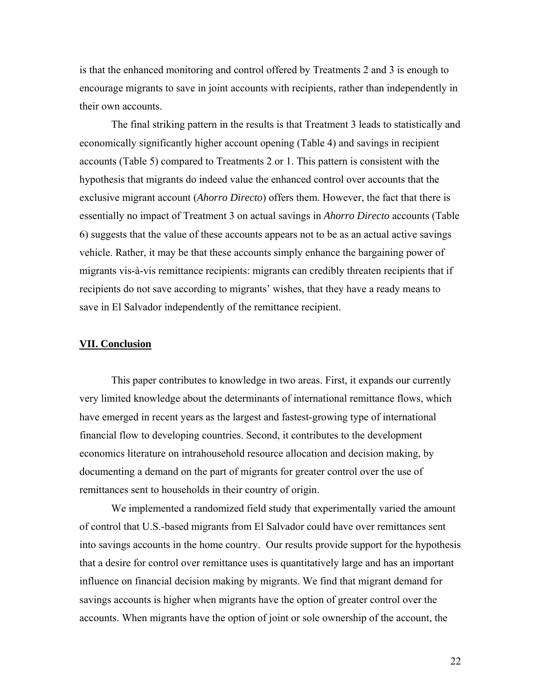is that the enhanced monitoring and control offered by Treatments 2 and 3 is enough to encourage migrants to save in joint accounts with recipients, rather than independently in their own accounts.

The final striking pattern in the results is that Treatment 3 leads to statistically and economically significantly higher account opening (Table 4) and savings in recipient accounts (Table 5) compared to Treatments 2 or 1. This pattern is consistent with the hypothesis that migrants do indeed value the enhanced control over accounts that the exclusive migrant account (*Ahorro Directo*) offers them. However, the fact that there is essentially no impact of Treatment 3 on actual savings in *Ahorro Directo* accounts (Table 6) suggests that the value of these accounts appears not to be as an actual active savings vehicle. Rather, it may be that these accounts simply enhance the bargaining power of migrants vis-à-vis remittance recipients: migrants can credibly threaten recipients that if recipients do not save according to migrants' wishes, that they have a ready means to save in El Salvador independently of the remittance recipient.

#### **VII. Conclusion**

 This paper contributes to knowledge in two areas. First, it expands our currently very limited knowledge about the determinants of international remittance flows, which have emerged in recent years as the largest and fastest-growing type of international financial flow to developing countries. Second, it contributes to the development economics literature on intrahousehold resource allocation and decision making, by documenting a demand on the part of migrants for greater control over the use of remittances sent to households in their country of origin.

We implemented a randomized field study that experimentally varied the amount of control that U.S.-based migrants from El Salvador could have over remittances sent into savings accounts in the home country. Our results provide support for the hypothesis that a desire for control over remittance uses is quantitatively large and has an important influence on financial decision making by migrants. We find that migrant demand for savings accounts is higher when migrants have the option of greater control over the accounts. When migrants have the option of joint or sole ownership of the account, the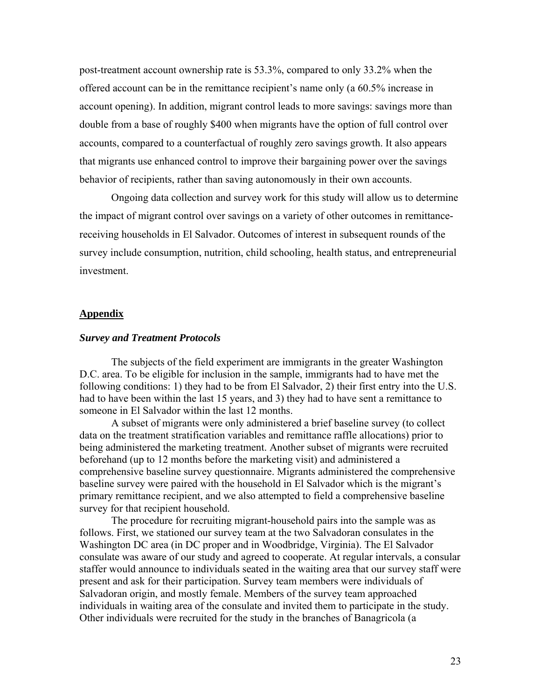post-treatment account ownership rate is 53.3%, compared to only 33.2% when the offered account can be in the remittance recipient's name only (a 60.5% increase in account opening). In addition, migrant control leads to more savings: savings more than double from a base of roughly \$400 when migrants have the option of full control over accounts, compared to a counterfactual of roughly zero savings growth. It also appears that migrants use enhanced control to improve their bargaining power over the savings behavior of recipients, rather than saving autonomously in their own accounts.

Ongoing data collection and survey work for this study will allow us to determine the impact of migrant control over savings on a variety of other outcomes in remittancereceiving households in El Salvador. Outcomes of interest in subsequent rounds of the survey include consumption, nutrition, child schooling, health status, and entrepreneurial investment.

#### **Appendix**

#### *Survey and Treatment Protocols*

The subjects of the field experiment are immigrants in the greater Washington D.C. area. To be eligible for inclusion in the sample, immigrants had to have met the following conditions: 1) they had to be from El Salvador, 2) their first entry into the U.S. had to have been within the last 15 years, and 3) they had to have sent a remittance to someone in El Salvador within the last 12 months.

A subset of migrants were only administered a brief baseline survey (to collect data on the treatment stratification variables and remittance raffle allocations) prior to being administered the marketing treatment. Another subset of migrants were recruited beforehand (up to 12 months before the marketing visit) and administered a comprehensive baseline survey questionnaire. Migrants administered the comprehensive baseline survey were paired with the household in El Salvador which is the migrant's primary remittance recipient, and we also attempted to field a comprehensive baseline survey for that recipient household.

The procedure for recruiting migrant-household pairs into the sample was as follows. First, we stationed our survey team at the two Salvadoran consulates in the Washington DC area (in DC proper and in Woodbridge, Virginia). The El Salvador consulate was aware of our study and agreed to cooperate. At regular intervals, a consular staffer would announce to individuals seated in the waiting area that our survey staff were present and ask for their participation. Survey team members were individuals of Salvadoran origin, and mostly female. Members of the survey team approached individuals in waiting area of the consulate and invited them to participate in the study. Other individuals were recruited for the study in the branches of Banagricola (a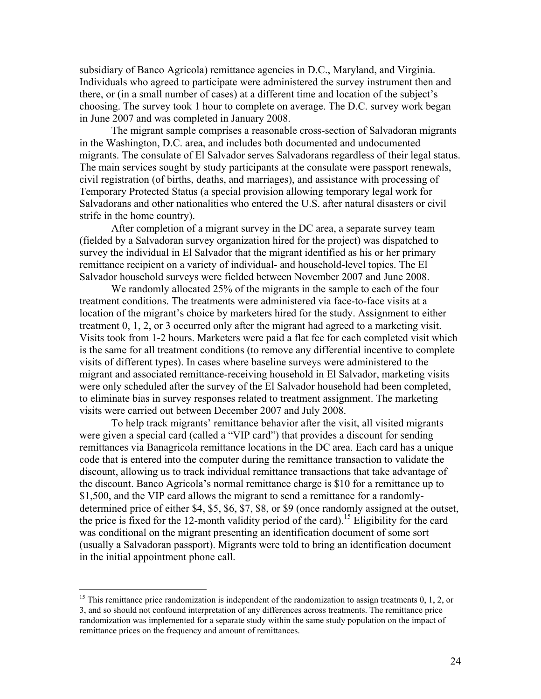subsidiary of Banco Agricola) remittance agencies in D.C., Maryland, and Virginia. Individuals who agreed to participate were administered the survey instrument then and there, or (in a small number of cases) at a different time and location of the subject's choosing. The survey took 1 hour to complete on average. The D.C. survey work began in June 2007 and was completed in January 2008.

The migrant sample comprises a reasonable cross-section of Salvadoran migrants in the Washington, D.C. area, and includes both documented and undocumented migrants. The consulate of El Salvador serves Salvadorans regardless of their legal status. The main services sought by study participants at the consulate were passport renewals, civil registration (of births, deaths, and marriages), and assistance with processing of Temporary Protected Status (a special provision allowing temporary legal work for Salvadorans and other nationalities who entered the U.S. after natural disasters or civil strife in the home country).

After completion of a migrant survey in the DC area, a separate survey team (fielded by a Salvadoran survey organization hired for the project) was dispatched to survey the individual in El Salvador that the migrant identified as his or her primary remittance recipient on a variety of individual- and household-level topics. The El Salvador household surveys were fielded between November 2007 and June 2008.

We randomly allocated 25% of the migrants in the sample to each of the four treatment conditions. The treatments were administered via face-to-face visits at a location of the migrant's choice by marketers hired for the study. Assignment to either treatment 0, 1, 2, or 3 occurred only after the migrant had agreed to a marketing visit. Visits took from 1-2 hours. Marketers were paid a flat fee for each completed visit which is the same for all treatment conditions (to remove any differential incentive to complete visits of different types). In cases where baseline surveys were administered to the migrant and associated remittance-receiving household in El Salvador, marketing visits were only scheduled after the survey of the El Salvador household had been completed, to eliminate bias in survey responses related to treatment assignment. The marketing visits were carried out between December 2007 and July 2008.

To help track migrants' remittance behavior after the visit, all visited migrants were given a special card (called a "VIP card") that provides a discount for sending remittances via Banagricola remittance locations in the DC area. Each card has a unique code that is entered into the computer during the remittance transaction to validate the discount, allowing us to track individual remittance transactions that take advantage of the discount. Banco Agricola's normal remittance charge is \$10 for a remittance up to \$1,500, and the VIP card allows the migrant to send a remittance for a randomlydetermined price of either \$4, \$5, \$6, \$7, \$8, or \$9 (once randomly assigned at the outset, the price is fixed for the 12-month validity period of the card).<sup>15</sup> Eligibility for the card was conditional on the migrant presenting an identification document of some sort (usually a Salvadoran passport). Migrants were told to bring an identification document in the initial appointment phone call.

 $\overline{a}$ 

<sup>&</sup>lt;sup>15</sup> This remittance price randomization is independent of the randomization to assign treatments  $0, 1, 2,$  or 3, and so should not confound interpretation of any differences across treatments. The remittance price randomization was implemented for a separate study within the same study population on the impact of remittance prices on the frequency and amount of remittances.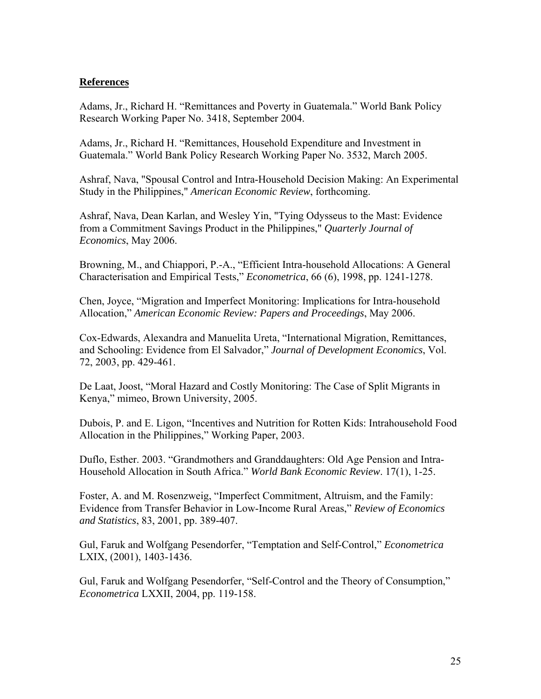## **References**

Adams, Jr., Richard H. "Remittances and Poverty in Guatemala." World Bank Policy Research Working Paper No. 3418, September 2004.

Adams, Jr., Richard H. "Remittances, Household Expenditure and Investment in Guatemala." World Bank Policy Research Working Paper No. 3532, March 2005.

Ashraf, Nava, "Spousal Control and Intra-Household Decision Making: An Experimental Study in the Philippines," *American Economic Review*, forthcoming.

Ashraf, Nava, Dean Karlan, and Wesley Yin, "Tying Odysseus to the Mast: Evidence from a Commitment Savings Product in the Philippines," *Quarterly Journal of Economics*, May 2006.

Browning, M., and Chiappori, P.-A., "Efficient Intra-household Allocations: A General Characterisation and Empirical Tests," *Econometrica*, 66 (6), 1998, pp. 1241-1278.

Chen, Joyce, "Migration and Imperfect Monitoring: Implications for Intra-household Allocation," *American Economic Review: Papers and Proceedings*, May 2006.

Cox-Edwards, Alexandra and Manuelita Ureta, "International Migration, Remittances, and Schooling: Evidence from El Salvador," *Journal of Development Economics*, Vol. 72, 2003, pp. 429-461.

De Laat, Joost, "Moral Hazard and Costly Monitoring: The Case of Split Migrants in Kenya," mimeo, Brown University, 2005.

Dubois, P. and E. Ligon, "Incentives and Nutrition for Rotten Kids: Intrahousehold Food Allocation in the Philippines," Working Paper, 2003.

Duflo, Esther. 2003. "Grandmothers and Granddaughters: Old Age Pension and Intra-Household Allocation in South Africa." *World Bank Economic Review*. 17(1), 1-25.

Foster, A. and M. Rosenzweig, "Imperfect Commitment, Altruism, and the Family: Evidence from Transfer Behavior in Low-Income Rural Areas," *Review of Economics and Statistics*, 83, 2001, pp. 389-407.

Gul, Faruk and Wolfgang Pesendorfer, "Temptation and Self-Control," *Econometrica*  LXIX, (2001), 1403-1436.

Gul, Faruk and Wolfgang Pesendorfer, "Self-Control and the Theory of Consumption," *Econometrica* LXXII, 2004, pp. 119-158.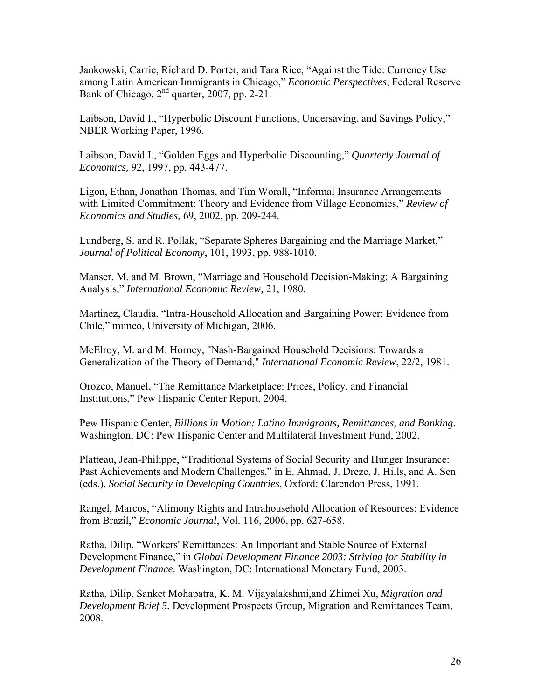Jankowski, Carrie, Richard D. Porter, and Tara Rice, "Against the Tide: Currency Use among Latin American Immigrants in Chicago," *Economic Perspectives*, Federal Reserve Bank of Chicago, 2<sup>nd</sup> quarter, 2007, pp. 2-21.

Laibson, David I., "Hyperbolic Discount Functions, Undersaving, and Savings Policy," NBER Working Paper, 1996.

Laibson, David I., "Golden Eggs and Hyperbolic Discounting," *Quarterly Journal of Economics,* 92, 1997, pp. 443-477.

Ligon, Ethan, Jonathan Thomas, and Tim Worall, "Informal Insurance Arrangements with Limited Commitment: Theory and Evidence from Village Economies," *Review of Economics and Studies*, 69, 2002, pp. 209-244.

Lundberg, S. and R. Pollak, "Separate Spheres Bargaining and the Marriage Market," *Journal of Political Economy*, 101, 1993, pp. 988-1010.

Manser, M. and M. Brown, "Marriage and Household Decision-Making: A Bargaining Analysis," *International Economic Review,* 21, 1980.

Martinez, Claudia, "Intra-Household Allocation and Bargaining Power: Evidence from Chile," mimeo, University of Michigan, 2006.

McElroy, M. and M. Horney, "Nash-Bargained Household Decisions: Towards a Generalization of the Theory of Demand," *International Economic Review*, 22/2, 1981.

Orozco, Manuel, "The Remittance Marketplace: Prices, Policy, and Financial Institutions," Pew Hispanic Center Report, 2004.

Pew Hispanic Center, *Billions in Motion: Latino Immigrants, Remittances, and Banking*. Washington, DC: Pew Hispanic Center and Multilateral Investment Fund, 2002.

Platteau, Jean-Philippe, "Traditional Systems of Social Security and Hunger Insurance: Past Achievements and Modern Challenges," in E. Ahmad, J. Dreze, J. Hills, and A. Sen (eds.), *Social Security in Developing Countries*, Oxford: Clarendon Press, 1991.

Rangel, Marcos, "Alimony Rights and Intrahousehold Allocation of Resources: Evidence from Brazil," *Economic Journal*, Vol. 116, 2006, pp. 627-658.

Ratha, Dilip, "Workers' Remittances: An Important and Stable Source of External Development Finance," in *Global Development Finance 2003: Striving for Stability in Development Finance*. Washington, DC: International Monetary Fund, 2003.

Ratha, Dilip, Sanket Mohapatra, K. M. Vijayalakshmi,and Zhimei Xu, *Migration and Development Brief 5.* Development Prospects Group, Migration and Remittances Team, 2008.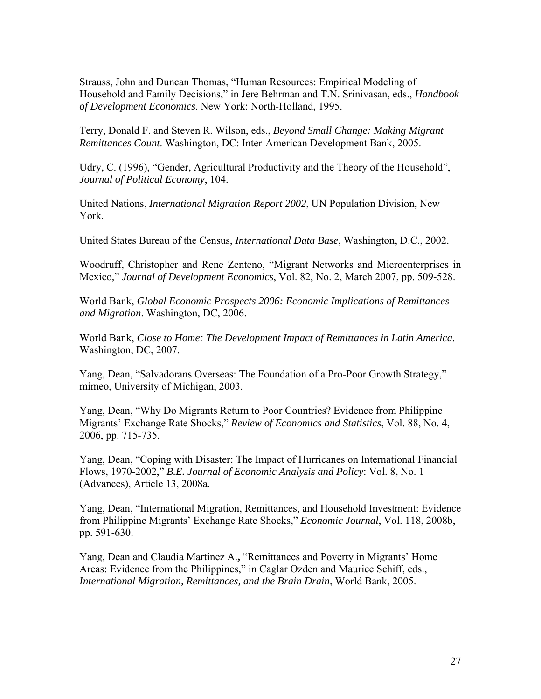Strauss, John and Duncan Thomas, "Human Resources: Empirical Modeling of Household and Family Decisions," in Jere Behrman and T.N. Srinivasan, eds., *Handbook of Development Economics*. New York: North-Holland, 1995.

Terry, Donald F. and Steven R. Wilson, eds., *Beyond Small Change: Making Migrant Remittances Count*. Washington, DC: Inter-American Development Bank, 2005.

Udry, C. (1996), "Gender, Agricultural Productivity and the Theory of the Household", *Journal of Political Economy*, 104.

United Nations, *International Migration Report 2002*, UN Population Division, New York.

United States Bureau of the Census, *International Data Base*, Washington, D.C., 2002.

Woodruff, Christopher and Rene Zenteno, "Migrant Networks and Microenterprises in Mexico," *Journal of Development Economics*, Vol. 82, No. 2, March 2007, pp. 509-528.

World Bank, *Global Economic Prospects 2006: Economic Implications of Remittances and Migration*. Washington, DC, 2006.

World Bank, *Close to Home: The Development Impact of Remittances in Latin America.* Washington, DC, 2007.

Yang, Dean, "Salvadorans Overseas: The Foundation of a Pro-Poor Growth Strategy," mimeo, University of Michigan, 2003.

Yang, Dean, "Why Do Migrants Return to Poor Countries? Evidence from Philippine Migrants' Exchange Rate Shocks," *Review of Economics and Statistics*, Vol. 88, No. 4, 2006, pp. 715-735.

Yang, Dean, "Coping with Disaster: The Impact of Hurricanes on International Financial Flows, 1970-2002," *B.E. Journal of Economic Analysis and Policy*: Vol. 8, No. 1 (Advances), Article 13, 2008a.

Yang, Dean, "International Migration, Remittances, and Household Investment: Evidence from Philippine Migrants' Exchange Rate Shocks," *Economic Journal*, Vol. 118, 2008b, pp. 591-630.

Yang, Dean and Claudia Martinez A.**,** "Remittances and Poverty in Migrants' Home Areas: Evidence from the Philippines," in Caglar Ozden and Maurice Schiff, eds., *International Migration, Remittances, and the Brain Drain*, World Bank, 2005.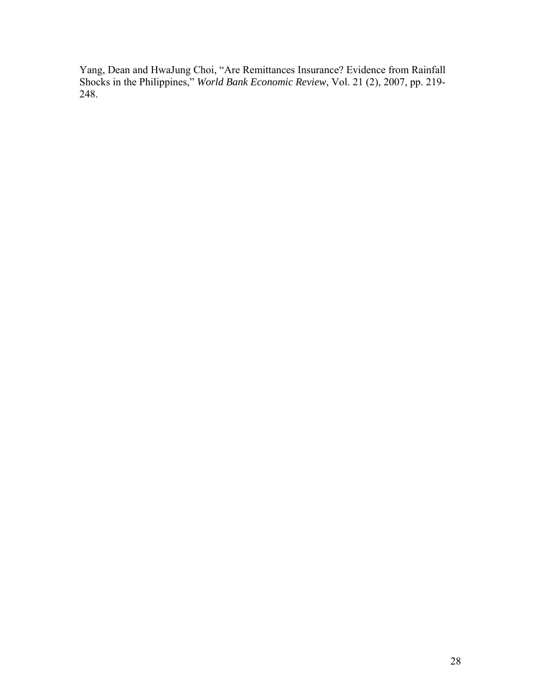Yang, Dean and HwaJung Choi, "Are Remittances Insurance? Evidence from Rainfall Shocks in the Philippines," *World Bank Economic Review*, Vol. 21 (2), 2007, pp. 219- 248.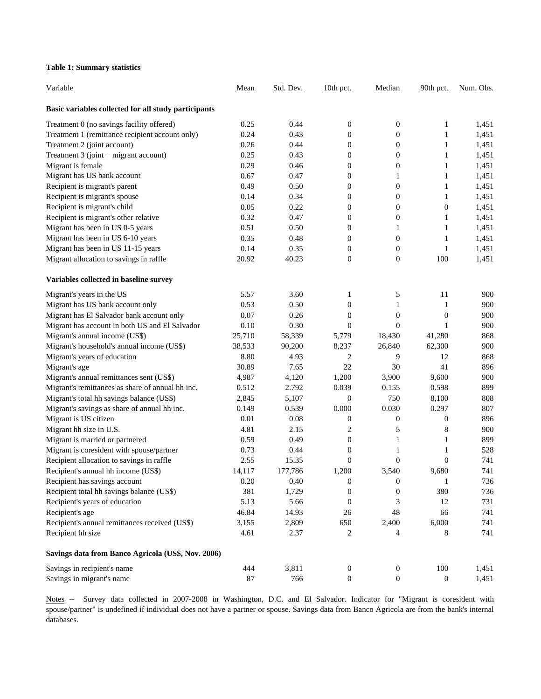#### **Table 1: Summary statistics**

| Variable                                             | Mean     | Std. Dev. | $10th$ pct.      | Median           | 90th pct.        | Num. Obs. |
|------------------------------------------------------|----------|-----------|------------------|------------------|------------------|-----------|
| Basic variables collected for all study participants |          |           |                  |                  |                  |           |
| Treatment 0 (no savings facility offered)            | 0.25     | 0.44      | $\boldsymbol{0}$ | 0                | 1                | 1,451     |
| Treatment 1 (remittance recipient account only)      | 0.24     | 0.43      | $\boldsymbol{0}$ | $\boldsymbol{0}$ | $\mathbf{1}$     | 1,451     |
| Treatment 2 (joint account)                          | 0.26     | 0.44      | $\boldsymbol{0}$ | $\boldsymbol{0}$ | $\mathbf{1}$     | 1,451     |
| Treatment 3 (joint + migrant account)                | 0.25     | 0.43      | $\boldsymbol{0}$ | $\boldsymbol{0}$ | $\mathbf{1}$     | 1,451     |
| Migrant is female                                    | 0.29     | 0.46      | $\boldsymbol{0}$ | $\boldsymbol{0}$ | $\mathbf{1}$     | 1,451     |
| Migrant has US bank account                          | 0.67     | 0.47      | $\boldsymbol{0}$ | $\mathbf{1}$     | $\mathbf{1}$     | 1,451     |
| Recipient is migrant's parent                        | 0.49     | 0.50      | $\boldsymbol{0}$ | $\boldsymbol{0}$ | $\mathbf{1}$     | 1,451     |
| Recipient is migrant's spouse                        | 0.14     | 0.34      | $\boldsymbol{0}$ | $\boldsymbol{0}$ | 1                | 1,451     |
| Recipient is migrant's child                         | 0.05     | 0.22      | $\boldsymbol{0}$ | $\boldsymbol{0}$ | $\boldsymbol{0}$ | 1,451     |
| Recipient is migrant's other relative                | 0.32     | 0.47      | $\boldsymbol{0}$ | $\boldsymbol{0}$ | $\mathbf{1}$     | 1,451     |
| Migrant has been in US 0-5 years                     | 0.51     | 0.50      | $\boldsymbol{0}$ | 1                | $\mathbf{1}$     | 1,451     |
| Migrant has been in US 6-10 years                    | 0.35     | 0.48      | $\theta$         | $\boldsymbol{0}$ | $\mathbf{1}$     | 1,451     |
| Migrant has been in US 11-15 years                   | 0.14     | 0.35      | $\boldsymbol{0}$ | $\boldsymbol{0}$ | 1                | 1,451     |
| Migrant allocation to savings in raffle              | 20.92    | 40.23     | $\boldsymbol{0}$ | $\boldsymbol{0}$ | 100              | 1,451     |
| Variables collected in baseline survey               |          |           |                  |                  |                  |           |
| Migrant's years in the US                            | 5.57     | 3.60      | 1                | 5                | 11               | 900       |
| Migrant has US bank account only                     | 0.53     | 0.50      | $\boldsymbol{0}$ | 1                | 1                | 900       |
| Migrant has El Salvador bank account only            | 0.07     | 0.26      | $\boldsymbol{0}$ | $\boldsymbol{0}$ | $\boldsymbol{0}$ | 900       |
| Migrant has account in both US and El Salvador       | 0.10     | 0.30      | $\boldsymbol{0}$ | $\boldsymbol{0}$ | $\mathbf{1}$     | 900       |
| Migrant's annual income (US\$)                       | 25,710   | 58,339    | 5,779            | 18,430           | 41,280           | 868       |
| Migrant's household's annual income (US\$)           | 38,533   | 90,200    | 8,237            | 26,840           | 62,300           | 900       |
| Migrant's years of education                         | 8.80     | 4.93      | $\overline{c}$   | 9                | 12               | 868       |
| Migrant's age                                        | 30.89    | 7.65      | 22               | 30               | 41               | 896       |
| Migrant's annual remittances sent (US\$)             | 4,987    | 4,120     | 1,200            | 3,900            | 9,600            | 900       |
| Migrant's remittances as share of annual hh inc.     | 0.512    | 2.792     | 0.039            | 0.155            | 0.598            | 899       |
| Migrant's total hh savings balance (US\$)            | 2,845    | 5,107     | $\boldsymbol{0}$ | 750              | 8,100            | 808       |
| Migrant's savings as share of annual hh inc.         | 0.149    | 0.539     | 0.000            | 0.030            | 0.297            | 807       |
| Migrant is US citizen                                | 0.01     | 0.08      | $\boldsymbol{0}$ | 0                | $\boldsymbol{0}$ | 896       |
| Migrant hh size in U.S.                              | 4.81     | 2.15      | $\overline{c}$   | 5                | 8                | 900       |
| Migrant is married or partnered                      | 0.59     | 0.49      | $\boldsymbol{0}$ | $\mathbf{1}$     | $\mathbf{1}$     | 899       |
| Migrant is coresident with spouse/partner            | 0.73     | 0.44      | $\theta$         | 1                | 1                | 528       |
| Recipient allocation to savings in raffle            | 2.55     | 15.35     | $\mathbf{0}$     | $\overline{0}$   | $\overline{0}$   | 741       |
| Recipient's annual hh income (US\$)                  | 14,117   | 177,786   | 1,200            | 3,540            | 9,680            | 741       |
| Recipient has savings account                        | $0.20\,$ | 0.40      | $\boldsymbol{0}$ | $\boldsymbol{0}$ | $\mathbf{1}$     | 736       |
| Recipient total hh savings balance (US\$)            | 381      | 1,729     | $\boldsymbol{0}$ | $\boldsymbol{0}$ | 380              | 736       |
| Recipient's years of education                       | 5.13     | 5.66      | $\boldsymbol{0}$ | 3                | 12               | 731       |
| Recipient's age                                      | 46.84    | 14.93     | 26               | 48               | 66               | 741       |
| Recipient's annual remittances received (US\$)       | 3,155    | 2,809     | 650              | 2,400            | 6,000            | 741       |
| Recipient hh size                                    | 4.61     | 2.37      | 2                | 4                | 8                | 741       |
| Savings data from Banco Agricola (US\$, Nov. 2006)   |          |           |                  |                  |                  |           |
| Savings in recipient's name                          | 444      | 3,811     | $\boldsymbol{0}$ | $\boldsymbol{0}$ | 100              | 1,451     |
| Savings in migrant's name                            | $87\,$   | 766       | $\boldsymbol{0}$ | $\boldsymbol{0}$ | $\mathbf{0}$     | 1,451     |

Notes -- Survey data collected in 2007-2008 in Washington, D.C. and El Salvador. Indicator for "Migrant is coresident with spouse/partner" is undefined if individual does not have a partner or spouse. Savings data from Banco Agricola are from the bank's internal databases.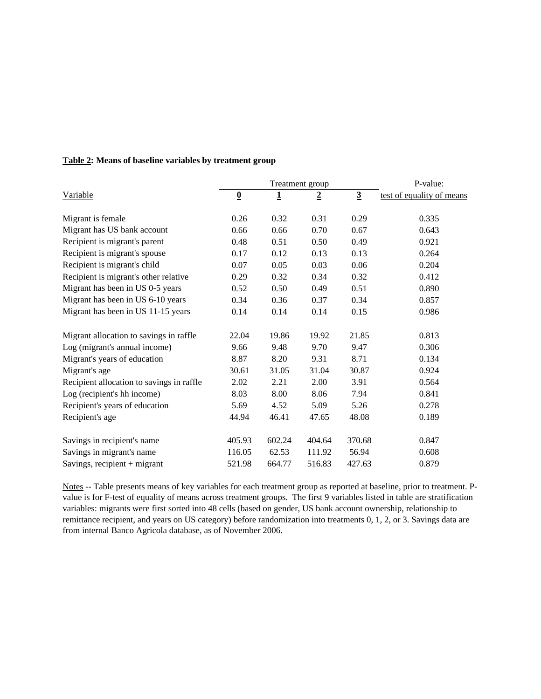|                                           |                          | Treatment group | P-value:       |                |                           |
|-------------------------------------------|--------------------------|-----------------|----------------|----------------|---------------------------|
| Variable                                  | $\underline{\mathbf{0}}$ | $\overline{1}$  | $\overline{2}$ | $\overline{3}$ | test of equality of means |
| Migrant is female                         | 0.26                     | 0.32            | 0.31           | 0.29           | 0.335                     |
| Migrant has US bank account               | 0.66                     | 0.66            | 0.70           | 0.67           | 0.643                     |
| Recipient is migrant's parent             | 0.48                     | 0.51            | 0.50           | 0.49           | 0.921                     |
| Recipient is migrant's spouse             | 0.17                     | 0.12            | 0.13           | 0.13           | 0.264                     |
| Recipient is migrant's child              | 0.07                     | 0.05            | 0.03           | 0.06           | 0.204                     |
| Recipient is migrant's other relative     | 0.29                     | 0.32            | 0.34           | 0.32           | 0.412                     |
| Migrant has been in US 0-5 years          | 0.52                     | 0.50            | 0.49           | 0.51           | 0.890                     |
| Migrant has been in US 6-10 years         | 0.34                     | 0.36            | 0.37           | 0.34           | 0.857                     |
| Migrant has been in US 11-15 years        | 0.14                     | 0.14            | 0.14           | 0.15           | 0.986                     |
| Migrant allocation to savings in raffle   | 22.04                    | 19.86           | 19.92          | 21.85          | 0.813                     |
| Log (migrant's annual income)             | 9.66                     | 9.48            | 9.70           | 9.47           | 0.306                     |
| Migrant's years of education              | 8.87                     | 8.20            | 9.31           | 8.71           | 0.134                     |
| Migrant's age                             | 30.61                    | 31.05           | 31.04          | 30.87          | 0.924                     |
| Recipient allocation to savings in raffle | 2.02                     | 2.21            | 2.00           | 3.91           | 0.564                     |
| Log (recipient's hh income)               | 8.03                     | 8.00            | 8.06           | 7.94           | 0.841                     |
| Recipient's years of education            | 5.69                     | 4.52            | 5.09           | 5.26           | 0.278                     |
| Recipient's age                           | 44.94                    | 46.41           | 47.65          | 48.08          | 0.189                     |
| Savings in recipient's name               | 405.93                   | 602.24          | 404.64         | 370.68         | 0.847                     |
| Savings in migrant's name                 | 116.05                   | 62.53           | 111.92         | 56.94          | 0.608                     |
| Savings, recipient + migrant              | 521.98                   | 664.77          | 516.83         | 427.63         | 0.879                     |

## **Table 2: Means of baseline variables by treatment group**

Notes -- Table presents means of key variables for each treatment group as reported at baseline, prior to treatment. Pvalue is for F-test of equality of means across treatment groups. The first 9 variables listed in table are stratification variables: migrants were first sorted into 48 cells (based on gender, US bank account ownership, relationship to remittance recipient, and years on US category) before randomization into treatments 0, 1, 2, or 3. Savings data are from internal Banco Agricola database, as of November 2006.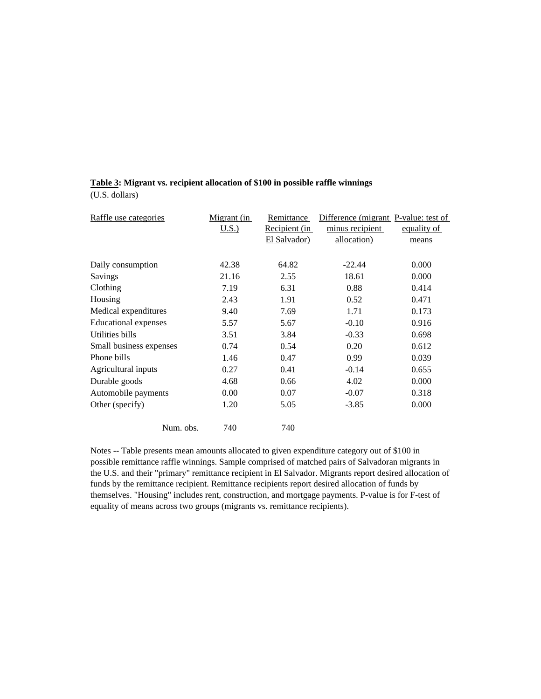#### **Table 3: Migrant vs. recipient allocation of \$100 in possible raffle winnings**

(U.S. dollars)

| Raffle use categories   | Migrant (in | Remittance    | Difference (migrant P-value: test of |             |
|-------------------------|-------------|---------------|--------------------------------------|-------------|
|                         | U.S.        | Recipient (in | minus recipient                      | equality of |
|                         |             | El Salvador)  | allocation)                          | means       |
|                         |             |               |                                      |             |
| Daily consumption       | 42.38       | 64.82         | $-22.44$                             | 0.000       |
| Savings                 | 21.16       | 2.55          | 18.61                                | 0.000       |
| Clothing                | 7.19        | 6.31          | 0.88                                 | 0.414       |
| Housing                 | 2.43        | 1.91          | 0.52                                 | 0.471       |
| Medical expenditures    | 9.40        | 7.69          | 1.71                                 | 0.173       |
| Educational expenses    | 5.57        | 5.67          | $-0.10$                              | 0.916       |
| Utilities bills         | 3.51        | 3.84          | $-0.33$                              | 0.698       |
| Small business expenses | 0.74        | 0.54          | 0.20                                 | 0.612       |
| Phone bills             | 1.46        | 0.47          | 0.99                                 | 0.039       |
| Agricultural inputs     | 0.27        | 0.41          | $-0.14$                              | 0.655       |
| Durable goods           | 4.68        | 0.66          | 4.02                                 | 0.000       |
| Automobile payments     | 0.00        | 0.07          | $-0.07$                              | 0.318       |
| Other (specify)         | 1.20        | 5.05          | $-3.85$                              | 0.000       |
| Num. obs.               | 740         | 740           |                                      |             |

Notes -- Table presents mean amounts allocated to given expenditure category out of \$100 in possible remittance raffle winnings. Sample comprised of matched pairs of Salvadoran migrants in the U.S. and their "primary" remittance recipient in El Salvador. Migrants report desired allocation of funds by the remittance recipient. Remittance recipients report desired allocation of funds by themselves. "Housing" includes rent, construction, and mortgage payments. P-value is for F-test of equality of means across two groups (migrants vs. remittance recipients).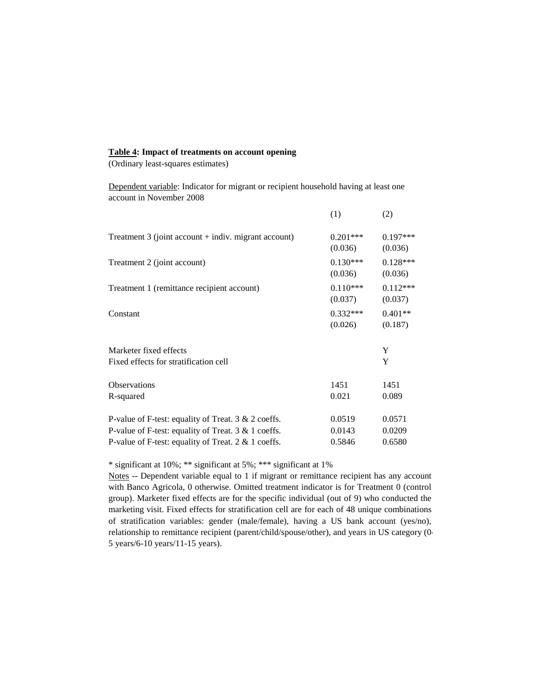#### **Table 4: Impact of treatments on account opening**

(Ordinary least-squares estimates)

Dependent variable: Indicator for migrant or recipient household having at least one account in November 2008

|                                                          | (1)                   | (2)                   |
|----------------------------------------------------------|-----------------------|-----------------------|
| Treatment $3$ (joint account $+$ indiv. migrant account) | $0.201***$<br>(0.036) | $0.197***$<br>(0.036) |
| Treatment 2 (joint account)                              | $0.130***$<br>(0.036) | $0.128***$<br>(0.036) |
| Treatment 1 (remittance recipient account)               | $0.110***$<br>(0.037) | $0.112***$<br>(0.037) |
| Constant                                                 | $0.332***$<br>(0.026) | $0.401**$<br>(0.187)  |
| Marketer fixed effects                                   |                       | Y                     |
| Fixed effects for stratification cell                    |                       | Y                     |
| <b>Observations</b><br>R-squared                         | 1451<br>0.021         | 1451<br>0.089         |
| P-value of F-test: equality of Treat. 3 & 2 coeffs.      | 0.0519                | 0.0571                |
| P-value of F-test: equality of Treat. $3 & 1$ coeffs.    | 0.0143                | 0.0209                |
| P-value of F-test: equality of Treat. $2 \& 1$ coeffs.   | 0.5846                | 0.6580                |

\* significant at 10%; \*\* significant at 5%; \*\*\* significant at 1%

Notes -- Dependent variable equal to 1 if migrant or remittance recipient has any account with Banco Agricola, 0 otherwise. Omitted treatment indicator is for Treatment 0 (control group). Marketer fixed effects are for the specific individual (out of 9) who conducted the marketing visit. Fixed effects for stratification cell are for each of 48 unique combinations of stratification variables: gender (male/female), having a US bank account (yes/no), relationship to remittance recipient (parent/child/spouse/other), and years in US category (0- 5 years/6-10 years/11-15 years).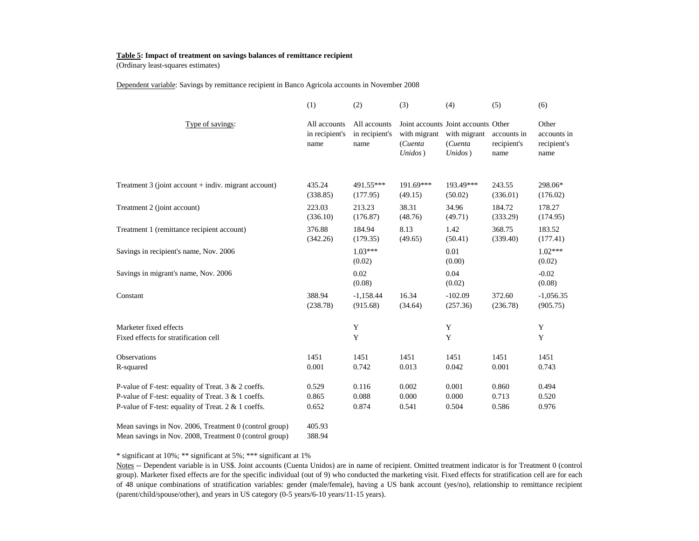#### **Table 5: Impact of treatment on savings balances of remittance recipient**

(Ordinary least-squares estimates)

Dependent variable: Savings by remittance recipient in Banco Agricola accounts in November 2008

|                                                                                                               | (1)                                    | (2)                                    | (3)                                | (4)                                                                       | (5)                                | (6)                                         |
|---------------------------------------------------------------------------------------------------------------|----------------------------------------|----------------------------------------|------------------------------------|---------------------------------------------------------------------------|------------------------------------|---------------------------------------------|
| Type of savings:                                                                                              | All accounts<br>in recipient's<br>name | All accounts<br>in recipient's<br>name | with migrant<br>(Cuenta<br>Unidos) | Joint accounts Joint accounts Other<br>with migrant<br>(Cuenta<br>Unidos) | accounts in<br>recipient's<br>name | Other<br>accounts in<br>recipient's<br>name |
| Treatment 3 (joint account + indiv. migrant account)                                                          | 435.24<br>(338.85)                     | 491.55***<br>(177.95)                  | 191.69***<br>(49.15)               | 193.49***<br>(50.02)                                                      | 243.55<br>(336.01)                 | 298.06*<br>(176.02)                         |
| Treatment 2 (joint account)                                                                                   | 223.03<br>(336.10)                     | 213.23<br>(176.87)                     | 38.31<br>(48.76)                   | 34.96<br>(49.71)                                                          | 184.72<br>(333.29)                 | 178.27<br>(174.95)                          |
| Treatment 1 (remittance recipient account)                                                                    | 376.88<br>(342.26)                     | 184.94<br>(179.35)                     | 8.13<br>(49.65)                    | 1.42<br>(50.41)                                                           | 368.75<br>(339.40)                 | 183.52<br>(177.41)                          |
| Savings in recipient's name, Nov. 2006                                                                        |                                        | $1.03***$<br>(0.02)                    |                                    | 0.01<br>(0.00)                                                            |                                    | $1.02***$<br>(0.02)                         |
| Savings in migrant's name, Nov. 2006                                                                          |                                        | 0.02<br>(0.08)                         |                                    | 0.04<br>(0.02)                                                            |                                    | $-0.02$<br>(0.08)                           |
| Constant                                                                                                      | 388.94<br>(238.78)                     | $-1,158.44$<br>(915.68)                | 16.34<br>(34.64)                   | $-102.09$<br>(257.36)                                                     | 372.60<br>(236.78)                 | $-1,056.35$<br>(905.75)                     |
| Marketer fixed effects                                                                                        |                                        | Y                                      |                                    | Y                                                                         |                                    | Y                                           |
| Fixed effects for stratification cell                                                                         |                                        | Y                                      |                                    | Y                                                                         |                                    | Y                                           |
| Observations<br>R-squared                                                                                     | 1451<br>0.001                          | 1451<br>0.742                          | 1451<br>0.013                      | 1451<br>0.042                                                             | 1451<br>0.001                      | 1451<br>0.743                               |
| P-value of F-test: equality of Treat. $3 & 2$ coeffs.                                                         | 0.529                                  | 0.116                                  | 0.002                              | 0.001                                                                     | 0.860                              | 0.494                                       |
| P-value of F-test: equality of Treat. 3 & 1 coeffs.<br>P-value of F-test: equality of Treat. $2 \& 1$ coeffs. | 0.865<br>0.652                         | 0.088<br>0.874                         | 0.000<br>0.541                     | 0.000<br>0.504                                                            | 0.713<br>0.586                     | 0.520<br>0.976                              |
| Mean savings in Nov. 2006, Treatment 0 (control group)                                                        | 405.93                                 |                                        |                                    |                                                                           |                                    |                                             |

Mean savings in Nov. 2008, Treatment 0 (control group) 388.94

\* significant at 10%; \*\* significant at 5%; \*\*\* significant at 1%

Notes -- Dependent variable is in US\$. Joint accounts (Cuenta Unidos) are in name of recipient. Omitted treatment indicator is for Treatment 0 (control group). Marketer fixed effects are for the specific individual (out of 9) who conducted the marketing visit. Fixed effects for stratification cell are for each of 48 unique combinations of stratification variables: gender (male/female), having <sup>a</sup> US bank account (yes/no), relationship to remittance recipient (parent/child/spouse/other), and years in US category (0-5 years/6-10 years/11-15 years).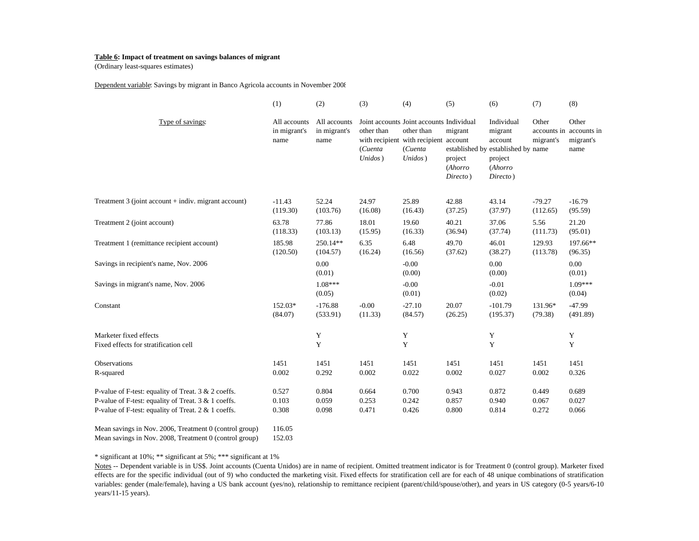#### **Table 6: Impact of treatment on savings balances of migrant**

(Ordinary least-squares estimates)

Dependent variable: Savings by migrant in Banco Agricola accounts in November 2008

|                                                                 | (1)                                  | (2)                                  | (3)                              | (4)                                                                                                                   | (5)                                       | (6)                                                                                                      | (7)                | (8)                                                   |
|-----------------------------------------------------------------|--------------------------------------|--------------------------------------|----------------------------------|-----------------------------------------------------------------------------------------------------------------------|-------------------------------------------|----------------------------------------------------------------------------------------------------------|--------------------|-------------------------------------------------------|
| Type of savings:                                                | All accounts<br>in migrant's<br>name | All accounts<br>in migrant's<br>name | other than<br>(Cuenta<br>Unidos) | Joint accounts Joint accounts Individual<br>other than<br>with recipient with recipient account<br>(Cuenta<br>Unidos) | migrant<br>project<br>(Ahorro<br>Directo) | Individual<br>migrant<br>account<br>established by established by name<br>project<br>(Ahorro<br>Directo) | Other<br>migrant's | Other<br>accounts in accounts in<br>migrant's<br>name |
| Treatment 3 (joint account + indiv. migrant account)            | $-11.43$                             | 52.24                                | 24.97                            | 25.89                                                                                                                 | 42.88                                     | 43.14                                                                                                    | $-79.27$           | $-16.79$                                              |
|                                                                 | (119.30)                             | (103.76)                             | (16.08)                          | (16.43)                                                                                                               | (37.25)                                   | (37.97)                                                                                                  | (112.65)           | (95.59)                                               |
| Treatment 2 (joint account)                                     | 63.78                                | 77.86                                | 18.01                            | 19.60                                                                                                                 | 40.21                                     | 37.06                                                                                                    | 5.56               | 21.20                                                 |
|                                                                 | (118.33)                             | (103.13)                             | (15.95)                          | (16.33)                                                                                                               | (36.94)                                   | (37.74)                                                                                                  | (111.73)           | (95.01)                                               |
| Treatment 1 (remittance recipient account)                      | 185.98                               | 250.14**                             | 6.35                             | 6.48                                                                                                                  | 49.70                                     | 46.01                                                                                                    | 129.93             | 197.66**                                              |
|                                                                 | (120.50)                             | (104.57)                             | (16.24)                          | (16.56)                                                                                                               | (37.62)                                   | (38.27)                                                                                                  | (113.78)           | (96.35)                                               |
| Savings in recipient's name, Nov. 2006                          |                                      | 0.00<br>(0.01)                       |                                  | $-0.00$<br>(0.00)                                                                                                     |                                           | 0.00<br>(0.00)                                                                                           |                    | 0.00<br>(0.01)                                        |
| Savings in migrant's name, Nov. 2006                            |                                      | $1.08***$<br>(0.05)                  |                                  | $-0.00$<br>(0.01)                                                                                                     |                                           | $-0.01$<br>(0.02)                                                                                        |                    | $1.09***$<br>(0.04)                                   |
| Constant                                                        | 152.03*                              | $-176.88$                            | $-0.00$                          | $-27.10$                                                                                                              | 20.07                                     | $-101.79$                                                                                                | 131.96*            | $-47.99$                                              |
|                                                                 | (84.07)                              | (533.91)                             | (11.33)                          | (84.57)                                                                                                               | (26.25)                                   | (195.37)                                                                                                 | (79.38)            | (491.89)                                              |
| Marketer fixed effects<br>Fixed effects for stratification cell |                                      | Y<br>Y                               |                                  | Y<br>Y                                                                                                                |                                           | Y<br>Y                                                                                                   |                    | Y<br>Y                                                |
| Observations                                                    | 1451                                 | 1451                                 | 1451                             | 1451                                                                                                                  | 1451                                      | 1451                                                                                                     | 1451               | 1451                                                  |
| R-squared                                                       | 0.002                                | 0.292                                | 0.002                            | 0.022                                                                                                                 | 0.002                                     | 0.027                                                                                                    | 0.002              | 0.326                                                 |
| P-value of F-test: equality of Treat. 3 & 2 coeffs.             | 0.527                                | 0.804                                | 0.664                            | 0.700                                                                                                                 | 0.943                                     | 0.872                                                                                                    | 0.449              | 0.689                                                 |
| P-value of F-test: equality of Treat. 3 & 1 coeffs.             | 0.103                                | 0.059                                | 0.253                            | 0.242                                                                                                                 | 0.857                                     | 0.940                                                                                                    | 0.067              | 0.027                                                 |
| P-value of F-test: equality of Treat. 2 & 1 coeffs.             | 0.308                                | 0.098                                | 0.471                            | 0.426                                                                                                                 | 0.800                                     | 0.814                                                                                                    | 0.272              | 0.066                                                 |
| Mean savings in Nov. 2006, Treatment 0 (control group)          | 116.05                               |                                      |                                  |                                                                                                                       |                                           |                                                                                                          |                    |                                                       |

Mean savings in Nov. 2008, Treatment 0 (control group) 152.03

\* significant at 10%; \*\* significant at 5%; \*\*\* significant at 1%

Notes -- Dependent variable is in US\$. Joint accounts (Cuenta Unidos) are in name of recipient. Omitted treatment indicator is for Treatment 0 (control group). Marketer fixed effects are for the specific individual (out of 9) who conducted the marketing visit. Fixed effects for stratification cell are for each of 48 unique combinations of stratification variables: gender (male/female), having <sup>a</sup> US bank account (yes/no), relationship to remittance recipient (parent/child/spouse/other), and years in US category (0-5 years/6-10 years/11-15 years).